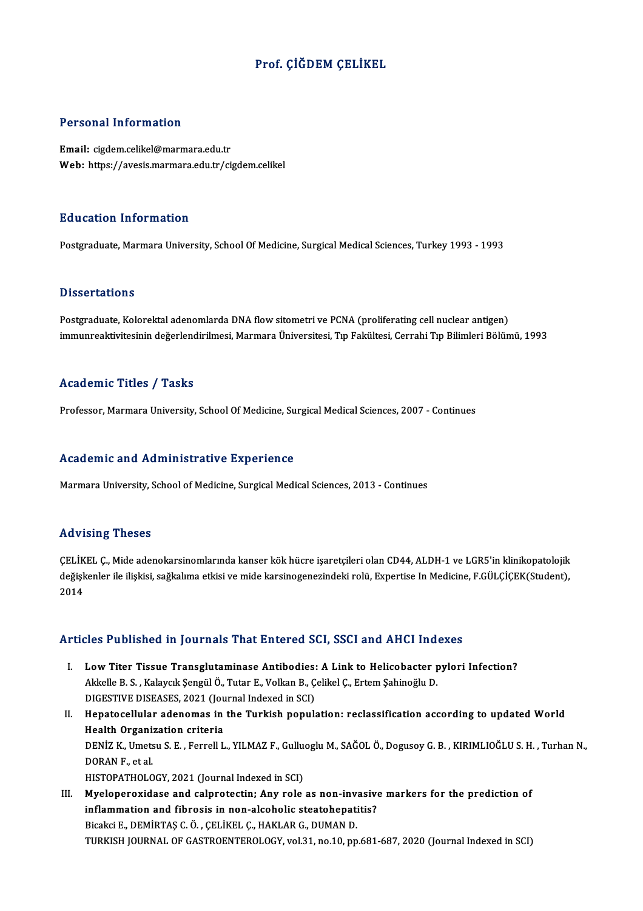### Prof. ÇİĞDEM ÇELİKEL

#### Personal Information

Email: cigdem.celikel@marmara.edu.tr Web: https://avesis.marmara.edu.tr/cigdem.celikel

#### Education Information

Postgraduate, Marmara University, School Of Medicine, Surgical Medical Sciences, Turkey 1993 - 1993

#### **Dissertations**

Postgraduate, Kolorektal adenomlarda DNA flow sitometri ve PCNA (proliferating cell nuclear antigen) immunreaktivitesinin değerlendirilmesi, Marmara Üniversitesi, Tıp Fakültesi, Cerrahi Tıp Bilimleri Bölümü, 1993

#### Academic Titles / Tasks

Professor, Marmara University, School Of Medicine, Surgical Medical Sciences, 2007 - Continues

#### Academic and Administrative Experience

Marmara University, School of Medicine, Surgical Medical Sciences, 2013 - Continues

#### Advising Theses

ÇELİKEL Ç., Mide adenokarsinomlarında kanser kök hücre işaretçileri olan CD44, ALDH-1 ve LGR5'in klinikopatolojik rta v isrir<sub>b</sub>i risses<br>ÇELİKEL Ç., Mide adenokarsinomlarında kanser kök hücre işaretçileri olan CD44, ALDH-1 ve LGR5'in klinikopatolojik<br>değişkenler ile ilişkisi, sağkalıma etkisi ve mide karsinogenezindeki rolü, Expertise ÇELİK<br>değişk<br>2014

## Articles Published in Journals That Entered SCI, SSCI and AHCI Indexes

- rticles Published in Journals That Entered SCI, SSCI and AHCI Indexes<br>I. Low Titer Tissue Transglutaminase Antibodies: A Link to Helicobacter pylori Infection?<br>Akkelle B.S. Kalaysk Sansül Ö. Tutar E. Volkan B. Celikel G. E Akkelle B.S., Kalaycık Şengül Ö., Tutar E., Volkan B., Çelikel Ç., Ertem Şahinoğlu D.<br>Akkelle B.S., Kalaycık Şengül Ö., Tutar E., Volkan B., Çelikel Ç., Ertem Şahinoğlu D.<br>DICESTIVE DISEASES, 2021 (Journal Indoved in SCD. Low Titer Tissue Transglutaminase Antibodies:<br>Akkelle B. S. , Kalaycık Şengül Ö., Tutar E., Volkan B., Ç<br>DIGESTIVE DISEASES, 2021 (Journal Indexed in SCI)<br>Hanatagellular adenemas in the Turkish nenula Akkelle B. S. , Kalaycık Şengül Ö., Tutar E., Volkan B., Çelikel Ç., Ertem Şahinoğlu D.<br>DIGESTIVE DISEASES, 2021 (Journal Indexed in SCI)<br>II. Hepatocellular adenomas in the Turkish population: reclassification according to
- DIGESTIVE DISEASES, 2021 (Jou<br>Hepatocellular adenomas in<br>Health Organization criteria<br>DENiZ K. Umetau S.E. Fornell L Hepatocellular adenomas in the Turkish population: reclassification according to updated World<br>Health Organization criteria<br>DENİZ K., Umetsu S. E. , Ferrell L., YILMAZ F., Gulluoglu M., SAĞOL Ö., Dogusoy G. B. , KIRIMLIOĞL Health Organization criteria<br>DENİZ K., Umetsu S. E. , Ferrell L., YILMAZ F., Gulluoglu M., SAĞOL Ö., Dogusoy G. B. , KIRIMLIOĞLU S. H. , Turhan N.,<br>DORAN F., et al. HISTOPATHOLOGY, 2021 (Journal Indexed in SCI) DORAN F., et al.<br>HISTOPATHOLOGY, 2021 (Journal Indexed in SCI)<br>III. Myeloperoxidase and calprotectin; Any role as non-invasive markers for the prediction of<br>inflammation and fibrosis in non-alsoholis statishenstitis?
- HISTOPATHOLOGY, 2021 (Journal Indexed in SCI)<br>Myeloperoxidase and calprotectin; Any role as non-invasive<br>inflammation and fibrosis in non-alcoholic steatohepatitis?<br>Pisaksi E. DEMIPTAS C.Ö., CELIVELC, HAVLAR C. DUMAN D. Myeloperoxidase and calprotectin; Any role as non-invantion and fibrosis in non-alcoholic steatohepation<br>Bicakci E., DEMİRTAŞ C.Ö. , ÇELİKEL Ç., HAKLAR G., DUMAN D.<br>TURKISH JOURNAL OF CASTROFNTEROLOCY .val 31 no 10 nn inflammation and fibrosis in non-alcoholic steatohepatitis?<br>Bicakci E., DEMİRTAŞ C. Ö. , ÇELİKEL Ç., HAKLAR G., DUMAN D.<br>TURKISH JOURNAL OF GASTROENTEROLOGY, vol.31, no.10, pp.681-687, 2020 (Journal Indexed in SCI)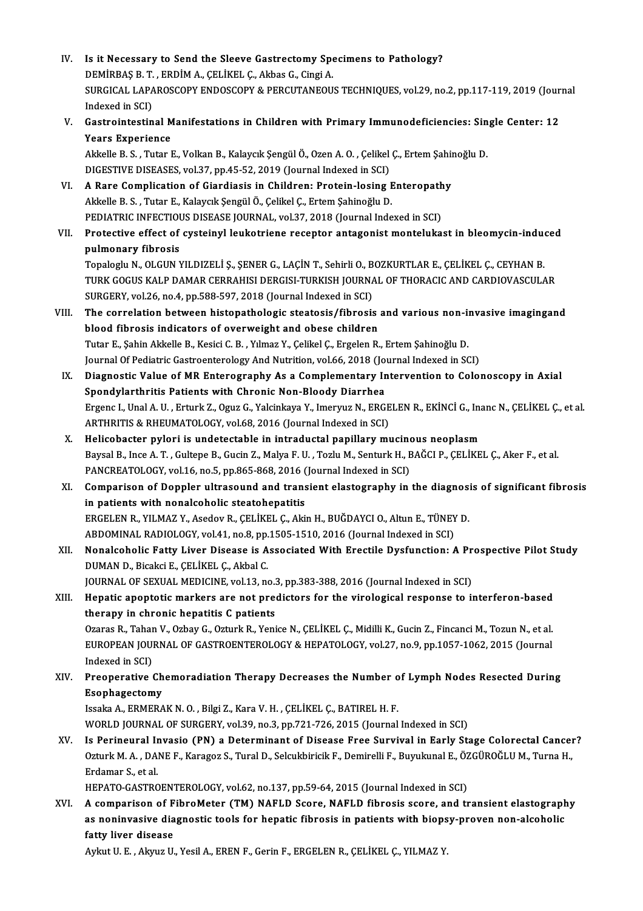IV. Is it Necessary to Send the Sleeve Gastrectomy Specimens to Pathology?<br>DEMIPRAS B.T. ERDIM A. CELIVEL C. Althos C. Cingi A. **Is it Necessary to Send the Sleeve Gastrectomy Spe**<br>DEMİRBAŞ B.T., ERDİM A., ÇELİKEL Ç., Akbas G., Cingi A.<br>SURGICAL LARAROSCORY ENDOSCORY & PERGUTANEQU SURGICAL LAPAROSCOPY ENDOSCOPY & PERCUTANEOUS TECHNIQUES, vol.29, no.2, pp.117-119, 2019 (Journal Indexed in SCI) DEMIRBAȘ B. T., ERDIM A., CELIKEL C., Akbas G., Cingi A. SURGICAL LAPAROSCOPY ENDOSCOPY & PERCUTANEOUS TECHNIQUES, vol.29, no.2, pp.117-119, 2019 (Jour<br>Indexed in SCI)<br>V. Gastrointestinal Manifestations in Children with Primary Immunodeficiencies: Single Center: 12<br>Vears Experie Indexed in SCI)<br>Gastrointestinal M<br>Years Experience<br>Akkelle B.S. Tuter I Gastrointestinal Manifestations in Children with Primary Immunodeficiencies: Sin<br>Years Experience<br>Akkelle B. S. , Tutar E., Volkan B., Kalaycık Şengül Ö., Ozen A. O. , Çelikel Ç., Ertem Şahinoğlu D.<br>DICESTIVE DISEASES vol Years Experience<br>Akkelle B. S. , Tutar E., Volkan B., Kalaycık Şengül Ö., Ozen A. O. , Çelikel Ç., Ertem Şahinoğlu D.<br>DIGESTIVE DISEASES, vol.37, pp.45-52, 2019 (Journal Indexed in SCI) Akkelle B. S., Tutar E., Volkan B., Kalaycık Şengül Ö., Ozen A. O., Çelikel Ç., Ertem Şahir<br>DIGESTIVE DISEASES, vol.37, pp.45-52, 2019 (Journal Indexed in SCI)<br>VI. A Rare Complication of Giardiasis in Children: Protein-los Akkelle B.S., Tutar E., Kalaycık Şengül Ö., Çelikel Ç., Ertem Şahinoğlu D. A Rare Complication of Giardiasis in Children: Protein-losing Enteropath<br>Akkelle B. S., Tutar E., Kalaycık Şengül Ö., Çelikel Ç., Ertem Şahinoğlu D.<br>PEDIATRIC INFECTIOUS DISEASE JOURNAL, vol.37, 2018 (Journal Indexed in SC VII. Protective effect of cysteinyl leukotriene receptor antagonist montelukast in bleomycin-induced<br>pulmonary fibrosis PEDIATRIC INFECTIOUS DISEASE JOURNAL, vol.37, 2018 (Journal Indexed in SCI) Protective effect of cysteinyl leukotriene receptor antagonist montelukast in bleomycin-indue<br>pulmonary fibrosis<br>Topaloglu N., OLGUN YILDIZELİ Ş., ŞENER G., LAÇİN T., Sehirli O., BOZKURTLAR E., ÇELİKEL Ç., CEYHAN B.<br>TURK C TURK GOGUS KALP DAMAR CERRAHISI DERGISI-TURKISH JOURNAL OF THORACIC AND CARDIOVASCULAR<br>SURGERY, vol.26, no.4, pp.588-597, 2018 (Journal Indexed in SCI) Topaloglu N., OLGUN YILDIZELİ Ş., ŞENER G., LAÇİN T., Sehirli O., B<br>TURK GOGUS KALP DAMAR CERRAHISI DERGISI-TURKISH JOURNA<br>SURGERY, vol.26, no.4, pp.588-597, 2018 (Journal Indexed in SCI)<br>The conrelation between bistanathe TURK GOGUS KALP DAMAR CERRAHISI DERGISI-TURKISH JOURNAL OF THORACIC AND CARDIOVASCULAR<br>SURGERY, vol.26, no.4, pp.588-597, 2018 (Journal Indexed in SCI)<br>VIII. The correlation between histopathologic steatosis/fibrosis and v SURGERY, vol.26, no.4, pp.588-597, 2018 (Journal Indexed in SCI)<br>The correlation between histopathologic steatosis/fibrosis<br>blood fibrosis indicators of overweight and obese children<br>Tutar E. Sobin Aldrelle B. Kesisi G. B. The correlation between histopathologic steatosis/fibrosis and various non-in<br>blood fibrosis indicators of overweight and obese children<br>Tutar E., Şahin Akkelle B., Kesici C.B. , Yılmaz Y., Çelikel Ç., Ergelen R., Ertem Şa blood fibrosis indicators of overweight and obese children<br>Tutar E., Şahin Akkelle B., Kesici C. B. , Yılmaz Y., Çelikel Ç., Ergelen R., Ertem Şahinoğlu D.<br>Journal Of Pediatric Gastroenterology And Nutrition, vol.66, 2018 Tutar E., Şahin Akkelle B., Kesici C. B. , Yılmaz Y., Çelikel Ç., Ergelen R., Ertem Şahinoğlu D.<br>Journal Of Pediatric Gastroenterology And Nutrition, vol.66, 2018 (Journal Indexed in SCI)<br>IX. Diagnostic Value of MR Ent Journal Of Pediatric Gastroenterology And Nutrition, vol.66, 2018 (Jo<br>Diagnostic Value of MR Enterography As a Complementary In<br>Spondylarthritis Patients with Chronic Non-Bloody Diarrhea<br>Fraenc L Unal A. U., Erturk Z., Ogu Diagnostic Value of MR Enterography As a Complementary Intervention to Colonoscopy in Axial<br>Spondylarthritis Patients with Chronic Non-Bloody Diarrhea<br>Ergenc I., Unal A. U. , Erturk Z., Oguz G., Yalcinkaya Y., Imeryuz N., Spondylarthritis Patients with Chronic Non-Bloody Diarrhea<br>Ergenc I., Unal A. U. , Erturk Z., Oguz G., Yalcinkaya Y., Imeryuz N., ERGE<br>ARTHRITIS & RHEUMATOLOGY, vol.68, 2016 (Journal Indexed in SCI)<br>Helisebaster pyleri is Ergenc I., Unal A. U., Erturk Z., Oguz G., Yalcinkaya Y., Imeryuz N., ERGELEN R., EKİNCİ G., Ina<br>ARTHRITIS & RHEUMATOLOGY, vol.68, 2016 (Journal Indexed in SCI)<br>X. Helicobacter pylori is undetectable in intraductal papilla ARTHRITIS & RHEUMATOLOGY, vol.68, 2016 (Journal Indexed in SCI)<br>Belicobacter pylori is undetectable in intraductal papillary mucinous neoplasm<br>Baysal B., Ince A. T. , Gultepe B., Gucin Z., Malya F. U. , Tozlu M., Senturk H X. Helicobacter pylori is undetectable in intraductal papillary mucinous neoplasm Baysal B., Ince A. T. , Gultepe B., Gucin Z., Malya F. U. , Tozlu M., Senturk H., BAĞCI P., ÇELİKEL Ç., Aker F., et al.<br>PANCREATOLOGY, vol.16, no.5, pp.865-868, 2016 (Journal Indexed in SCI)<br>XI. Comparison of Doppler ultra PANCREATOLOGY, vol.16, no.5, pp.865-868, 2016 (<br>Comparison of Doppler ultrasound and trans<br>in patients with nonalcoholic steatohepatitis<br>EPCELEN P. VILM47 Y. Asedoy P. CELIVEL C. Abi Comparison of Doppler ultrasound and transient elastography in the diagnosi<br>in patients with nonalcoholic steatohepatitis<br>ERGELEN R., YILMAZ Y., Asedov R., ÇELİKEL Ç., Akin H., BUĞDAYCI O., Altun E., TÜNEY D.<br>APDOMINAL BAD in patients with nonalcoholic steatohepatitis<br>ERGELEN R., YILMAZ Y., Asedov R., ÇELİKEL Ç., Akin H., BUĞDAYCI O., Altun E., TÜNEY D.<br>ABDOMINAL RADIOLOGY, vol.41, no.8, pp.1505-1510, 2016 (Journal Indexed in SCI) ERGELEN R., YILMAZ Y., Asedov R., ÇELİKEL Ç., Akin H., BUĞDAYCI O., Altun E., TÜNEY D.<br>ABDOMINAL RADIOLOGY, vol.41, no.8, pp.1505-1510, 2016 (Journal Indexed in SCI)<br>XII. Nonalcoholic Fatty Liver Disease is Associated With ABDOMINAL RADIOLOGY, vol.41, no.8, pp.<br>Nonalcoholic Fatty Liver Disease is A<br>DUMAN D., Bicakci E., ÇELİKEL Ç., Akbal C.<br>JOUPNAL OF SEXUAL MEDICINE vol.12, no Nonalcoholic Fatty Liver Disease is Associated With Erectile Dysfunction: A Pr<br>DUMAN D., Bicakci E., ÇELİKEL Ç., Akbal C.<br>JOURNAL OF SEXUAL MEDICINE, vol.13, no.3, pp.383-388, 2016 (Journal Indexed in SCI)<br>Hanatis anontati DUMAN D., Bicakci E., ÇELİKEL Ç., Akbal C.<br>JOURNAL OF SEXUAL MEDICINE, vol.13, no.3, pp.383-388, 2016 (Journal Indexed in SCI)<br>XIII. Hepatic apoptotic markers are not predictors for the virological response to interfer JOURNAL OF SEXUAL MEDICINE, vol.13, no.3<br>Hepatic apoptotic markers are not pree<br>therapy in chronic hepatitis C patients<br>Oranas B. Taban V. Orbay C. Orturk B. Vani Hepatic apoptotic markers are not predictors for the virological response to interferon-based<br>therapy in chronic hepatitis C patients<br>Ozaras R., Tahan V., Ozbay G., Ozturk R., Yenice N., ÇELİKEL Ç., Midilli K., Gucin Z., F therapy in chronic hepatitis C patients<br>Ozaras R., Tahan V., Ozbay G., Ozturk R., Yenice N., ÇELİKEL Ç., Midilli K., Gucin Z., Fincanci M., Tozun N., et al.<br>EUROPEAN JOURNAL OF GASTROENTEROLOGY & HEPATOLOGY, vol.27, no.9, Ozaras R., Tahar<br>EUROPEAN JOU!<br>Indexed in SCI)<br>Preoperative EUROPEAN JOURNAL OF GASTROENTEROLOGY & HEPATOLOGY, vol.27, no.9, pp.1057-1062, 2015 (Journal<br>Indexed in SCI)<br>XIV. Preoperative Chemoradiation Therapy Decreases the Number of Lymph Nodes Resected During<br>Economics Resected D Indexed in SCI)<br>XIV. Preoperative Chemoradiation Therapy Decreases the Number of Lymph Nodes Resected During<br>Esophagectomy IssakaA.,ERMERAKN.O. ,BilgiZ.,KaraV.H. ,ÇELİKEL Ç.,BATIRELH.F. WORLD JOURNAL OF SURGERY, vol.39, no.3, pp.721-726, 2015 (Journal Indexed in SCI) Issaka A., ERMERAK N. O. , Bilgi Z., Kara V. H. , ÇELİKEL Ç., BATIREL H. F.<br>WORLD JOURNAL OF SURGERY, vol.39, no.3, pp.721-726, 2015 (Journal Indexed in SCI)<br>XV. Is Perineural Invasio (PN) a Determinant of Disease Free Sur WORLD JOURNAL OF SURGERY, vol.39, no.3, pp.721-726, 2015 (Journal Indexed in SCI)<br>Is Perineural Invasio (PN) a Determinant of Disease Free Survival in Early Stage Colorectal Cancel<br>Ozturk M. A. , DANE F., Karagoz S., Tural Is Perineural I<mark>I</mark><br>Ozturk M. A. , DA!<br>Erdamar S., et al.<br>UERATO CASTRC Ozturk M. A. , DANE F., Karagoz S., Tural D., Selcukbiricik F., Demirelli F., Buyukunal E., ÖZGÜROĞLU M., Turna H.,<br>Erdamar S., et al.<br>HEPATO-GASTROENTEROLOGY, vol.62, no.137, pp.59-64, 2015 (Journal Indexed in SCI) Erdamar S., et al.<br>HEPATO-GASTROENTEROLOGY, vol.62, no.137, pp.59-64, 2015 (Journal Indexed in SCI)<br>XVI. A comparison of FibroMeter (TM) NAFLD Score, NAFLD fibrosis score, and transient elastography HEPATO-GASTROENTEROLOGY, vol.62, no.137, pp.59-64, 2015 (Journal Indexed in SCI)<br>A comparison of FibroMeter (TM) NAFLD Score, NAFLD fibrosis score, and transient elastograph<br>as noninvasive diagnostic tools for hepatic fibr A comparison of F<br>as noninvasive dia<br>fatty liver disease<br>Arlnu II F Almus II as noninvasive diagnostic tools for hepatic fibrosis in patients with biopsy-proven non-alcoholic<br>fatty liver disease<br>Aykut U. E. , Akyuz U., Yesil A., EREN F., Gerin F., ERGELEN R., ÇELİKEL Ç., YILMAZ Y.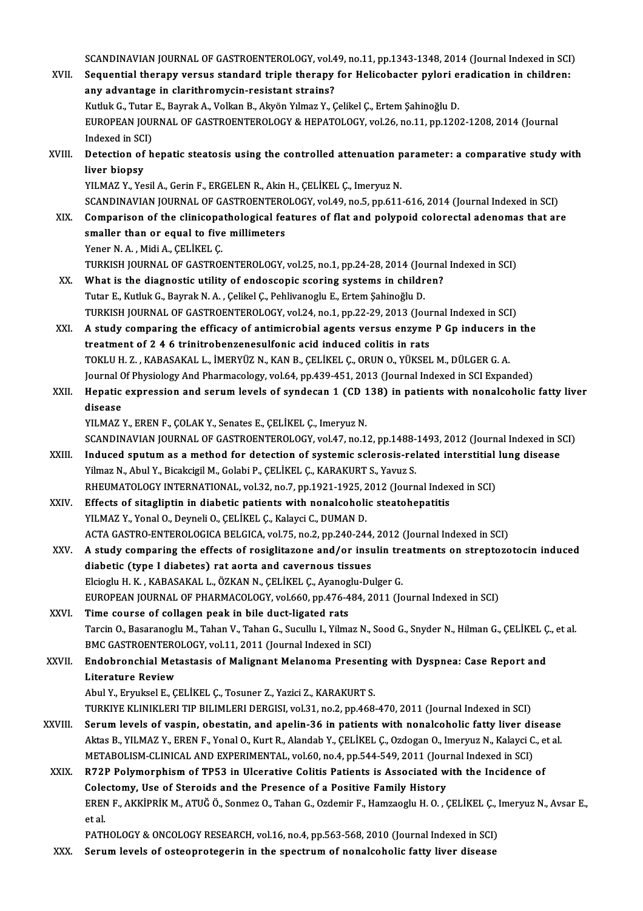SCANDINAVIAN JOURNAL OF GASTROENTEROLOGY, vol.49, no.11, pp.1343-1348, 2014 (Journal Indexed in SCI)<br>Sequential therepy vergue standard triple therepy for Helisebaster pyleri eradisation in shildrepy SCANDINAVIAN JOURNAL OF GASTROENTEROLOGY, vol.49, no.11, pp.1343-1348, 2014 (Journal Indexed in SCI<br>XVII. Sequential therapy versus standard triple therapy for Helicobacter pylori eradication in children:<br>. any advantage i SCANDINAVIAN JOURNAL OF GASTROENTEROLOGY, vol.4<br>Sequential therapy versus standard triple therapy<br>any advantage in clarithromycin-resistant strains?<br>Withit G. Tutar E. Bayrak A. Vallian B. Alvén Vilmar V. G Sequential therapy versus standard triple therapy for Helicobacter pylori e<br>any advantage in clarithromycin-resistant strains?<br>Kutluk G., Tutar E., Bayrak A., Volkan B., Akyön Yılmaz Y., Çelikel Ç., Ertem Şahinoğlu D.<br>EURO any advantage in clarithromycin-resistant strains?<br>Kutluk G., Tutar E., Bayrak A., Volkan B., Akyön Yılmaz Y., Çelikel Ç., Ertem Şahinoğlu D.<br>EUROPEAN JOURNAL OF GASTROENTEROLOGY & HEPATOLOGY, vol.26, no.11, pp.1202-1208, Kutluk G., Tutar<br>EUROPEAN JOU<br>Indexed in SCI)<br>Detection of h EUROPEAN JOURNAL OF GASTROENTEROLOGY & HEPATOLOGY, vol.26, no.11, pp.1202-1208, 2014 (Journal<br>Indexed in SCI)<br>XVIII. Detection of hepatic steatosis using the controlled attenuation parameter: a comparative study with<br>Ilive Indexed in SC<br>Detection of<br>liver biopsy<br><sup>VII MAZ V Vo</sup> Detection of hepatic steatosis using the controlled attenuation p<br>liver biopsy<br>YILMAZ Y., Yesil A., Gerin F., ERGELEN R., Akin H., ÇELİKEL Ç., Imeryuz N.<br>SCANDINAVIAN JOUPNAL OF CASTROFNTEROLOGY vel 49 no 5 nn 611 liver biopsy<br>YILMAZ Y., Yesil A., Gerin F., ERGELEN R., Akin H., ÇELİKEL Ç., Imeryuz N.<br>SCANDINAVIAN JOURNAL OF GASTROENTEROLOGY, vol.49, no.5, pp.611-616, 2014 (Journal Indexed in SCI) YILMAZ Y., Yesil A., Gerin F., ERGELEN R., Akin H., ÇELİKEL Ç., Imeryuz N.<br>SCANDINAVIAN JOURNAL OF GASTROENTEROLOGY, vol.49, no.5, pp.611-616, 2014 (Journal Indexed in SCI)<br>XIX. Comparison of the clinicopathological featur SCANDINAVIAN JOURNAL OF GASTROENTERC<br>Comparison of the clinicopathological fear<br>smaller than or equal to five millimeters<br>Yoner N.A. Midi A. CELUEL C Comparison of the clinicopa<br>smaller than or equal to five<br>Yener N.A., Midi A., ÇELİKEL Ç.<br>TURKEH JOURNAL OF CASTROL smaller than or equal to five millimeters<br>Yener N. A. , Midi A., ÇELİKEL Ç.<br>TURKISH JOURNAL OF GASTROENTEROLOGY, vol.25, no.1, pp.24-28, 2014 (Journal Indexed in SCI)<br>What is the disgnestis utility of andossanis ssering sy Yener N. A., Midi A., ÇELİKEL Ç.<br>TURKISH JOURNAL OF GASTROENTEROLOGY, vol.25, no.1, pp.24-28, 2014 (Journal)<br>XX. What is the diagnostic utility of endoscopic scoring systems in children?<br>Tutan E. Kutluk G. Bayrak N. A., Ga TURKISH JOURNAL OF GASTROENTEROLOGY, vol.25, no.1, pp.24-28, 2014 (Journal is the diagnostic utility of endoscopic scoring systems in children Tutar E., Kutluk G., Bayrak N. A. , Çelikel Ç., Pehlivanoglu E., Ertem Şahinoğl What is the diagnostic utility of endoscopic scoring systems in children?<br>Tutar E., Kutluk G., Bayrak N. A. , Çelikel Ç., Pehlivanoglu E., Ertem Şahinoğlu D.<br>TURKISH JOURNAL OF GASTROENTEROLOGY, vol.24, no.1, pp.22-29, 201 Tutar E., Kutluk G., Bayrak N. A. , Çelikel Ç., Pehlivanoglu E., Ertem Şahinoğlu D.<br>TURKISH JOURNAL OF GASTROENTEROLOGY, vol.24, no.1, pp.22-29, 2013 (Journal Indexed in SCI)<br>XXI. A study comparing the efficacy of antimicr TURKISH JOURNAL OF GASTROENTEROLOGY, vol.24, no.1, pp.22-29, 2013 (Journal)<br>A study comparing the efficacy of antimicrobial agents versus enzyme<br>treatment of 2 4 6 trinitrobenzenesulfonic acid induced colitis in rats<br>TOVUL A study comparing the efficacy of antimicrobial agents versus enzyme P Gp inducers i<br>treatment of 2 4 6 trinitrobenzenesulfonic acid induced colitis in rats<br>TOKLU H. Z., KABASAKAL L., İMERYÜZ N., KAN B., ÇELİKEL Ç., ORUN O treatment of 2 4 6 trinitrobenzenesulfonic acid induced colitis in rats<br>TOKLU H. Z. , KABASAKAL L., İMERYÜZ N., KAN B., ÇELİKEL Ç., ORUN O., YÜKSEL M., DÜLGER G. A.<br>Journal Of Physiology And Pharmacology, vol.64, pp.439-45 XXII. Hepatic expression and serum levels of syndecan 1 (CD 138) in patients with nonalcoholic fatty liver<br>disease Journal Of Physiology And Pharmacology, vol.64, pp.439-451, 2013 (Journal Indexed in SCI Expanded) YILMAZ Y., EREN F., ÇOLAK Y., Senates E., ÇELİKEL Ç., Imeryuz N. disease<br>YILMAZ Y., EREN F., ÇOLAK Y., Senates E., ÇELİKEL Ç., Imeryuz N.<br>SCANDINAVIAN JOURNAL OF GASTROENTEROLOGY, vol.47, no.12, pp.1488-1493, 2012 (Journal Indexed in SCI)<br>Indused sputum es a method for detestion of syst YILMAZ Y., EREN F., ÇOLAK Y., Senates E., ÇELİKEL Ç., Imeryuz N.<br>SCANDINAVIAN JOURNAL OF GASTROENTEROLOGY, vol.47, no.12, pp.1488-1493, 2012 (Journal Indexed in S<br>XXIII. Induced sputum as a method for detection of systemic SCANDINAVIAN JOURNAL OF GASTROENTEROLOGY, vol.47, no.12, pp.1488-<br>Induced sputum as a method for detection of systemic sclerosis-rel<br>Yilmaz N., Abul Y., Bicakcigil M., Golabi P., ÇELİKEL Ç., KARAKURT S., Yavuz S.<br>BHEUMATOL Induced sputum as a method for detection of systemic sclerosis-related interstitial lung disease<br>Yilmaz N., Abul Y., Bicakcigil M., Golabi P., ÇELİKEL Ç., KARAKURT S., Yavuz S.<br>RHEUMATOLOGY INTERNATIONAL, vol.32, no.7, pp. Yilmaz N., Abul Y., Bicakcigil M., Golabi P., ÇELİKEL Ç., KARAKURT S., Yavuz S.<br>RHEUMATOLOGY INTERNATIONAL, vol.32, no.7, pp.1921-1925, 2012 (Journal Index<br>XXIV. Effects of sitagliptin in diabetic patients with nonalcoholi RHEUMATOLOGY INTERNATIONAL, vol.32, no.7, pp.1921-1925, 2<br>Effects of sitagliptin in diabetic patients with nonalcoholi<br>YILMAZ Y., Yonal O., Deyneli O., ÇELİKEL Ç., Kalayci C., DUMAN D.<br>ACTA CASTRO ENTEROLOGICA PELGICA YOL7 YILMAZ Y., Yonal O., Deyneli O., ÇELİKEL Ç., Kalayci C., DUMAN D.<br>ACTA GASTRO-ENTEROLOGICA BELGICA, vol.75, no.2, pp.240-244, 2012 (Journal Indexed in SCI) YILMAZ Y., Yonal O., Deyneli O., ÇELİKEL Ç., Kalayci C., DUMAN D.<br>ACTA GASTRO-ENTEROLOGICA BELGICA, vol.75, no.2, pp.240-244, 2012 (Journal Indexed in SCI)<br>XXV. A study comparing the effects of rosiglitazone and/or insulin ACTA GASTRO-ENTEROLOGICA BELGICA, vol.75, no.2, pp.240-244,<br>A study comparing the effects of rosiglitazone and/or insu<br>diabetic (type I diabetes) rat aorta and cavernous tissues<br>Elsiegh: H. K. KARASAKALL, ÖZKAN N. CELUEL C A study comparing the effects of rosiglitazone and/or insulin tre<br>diabetic (type I diabetes) rat aorta and cavernous tissues<br>Elcioglu H.K., KABASAKAL L., ÖZKAN N., ÇELİKEL Ç., Ayanoglu-Dulger G.<br>EUROPEAN JOUPNAL OF PHARMAÇ diabetic (type I diabetes) rat aorta and cavernous tissues<br>Elcioglu H. K. , KABASAKAL L., ÖZKAN N., ÇELİKEL Ç., Ayanoglu-Dulger G.<br>EUROPEAN JOURNAL OF PHARMACOLOGY, vol.660, pp.476-484, 2011 (Journal Indexed in SCI)<br>Time s Elcioglu H. K., KABASAKAL L., ÖZKAN N., ÇELİKEL Ç., Ayanog<br>EUROPEAN JOURNAL OF PHARMACOLOGY, vol.660, pp.476-4<br>XXVI. Time course of collagen peak in bile duct-ligated rats<br>Tangin O. Basaranoglu M. Tahan V. Tahan C. Sugullu EUROPEAN JOURNAL OF PHARMACOLOGY, vol.660, pp.476-484, 2011 (Journal Indexed in SCI)<br>Time course of collagen peak in bile duct-ligated rats<br>Tarcin O., Basaranoglu M., Tahan V., Tahan G., Sucullu I., Yilmaz N., Sood G., Sny Time course of collagen peak in bile duct-ligated rats<br>Tarcin O., Basaranoglu M., Tahan V., Tahan G., Sucullu I., Yilmaz N., :<br>BMC GASTROENTEROLOGY, vol.11, 2011 (Journal Indexed in SCI)<br>Endebronshiel Metestesis of Meligna Tarcin O., Basaranoglu M., Tahan V., Tahan G., Sucullu I., Yilmaz N., Sood G., Snyder N., Hilman G., ÇELİKEL Ç<br>BMC GASTROENTEROLOGY, vol.11, 2011 (Journal Indexed in SCI)<br>XXVII. Endobronchial Metastasis of Malignant Me **BMC GASTROENTERC<br>Endobronchial Met<br>Literature Review<br>Abul V. Ermlrol E. C** Endobronchial Metastasis of Malignant Melanoma Presenting with Dyspnea: Case Report and<br>Literature Review<br>Abul Y., Eryuksel E., ÇELİKEL Ç., Tosuner Z., Yazici Z., KARAKURT S. L<mark>iterature Review</mark><br>Abul Y., Eryuksel E., ÇELİKEL Ç., Tosuner Z., Yazici Z., KARAKURT S.<br>TURKIYE KLINIKLERI TIP BILIMLERI DERGISI, vol.31, no.2, pp.468-470, 2011 (Journal Indexed in SCI)<br>Serum Javals of vasnin, obestatin, Abul Y., Eryuksel E., ÇELİKEL Ç., Tosuner Z., Yazici Z., KARAKURT S.<br>TURKIYE KLINIKLERI TIP BILIMLERI DERGISI, vol.31, no.2, pp.468-470, 2011 (Journal Indexed in SCI)<br>XXVIII. Serum levels of vaspin, obestatin, and apelin-3 TURKIYE KLINIKLERI TIP BILIMLERI DERGISI, vol.31, no.2, pp.468-470, 2011 (Journal Indexed in SCI)<br>Serum levels of vaspin, obestatin, and apelin-36 in patients with nonalcoholic fatty liver disease<br>Aktas B., YILMAZ Y., EREN Serum levels of vaspin, obestatin, and apelin-36 in patients with nonalcoholic fatty liver disease<br>Aktas B., YILMAZ Y., EREN F., Yonal O., Kurt R., Alandab Y., CELIKEL C., Ozdogan O., Imeryuz N., Kalayci C., et al. XXIX. R72P Polymorphismof TP53 in Ulcerative Colitis Patients is Associated with the Incidence of METABOLISM-CLINICAL AND EXPERIMENTAL, vol.60, no.4, pp.544-549, 2011 (Journal Indexed in SCI) R72P Polymorphism of TP53 in Ulcerative Colitis Patients is Associated with the Incidence of<br>Colectomy, Use of Steroids and the Presence of a Positive Family History<br>EREN F., AKKİPRİK M., ATUĞ Ö., Sonmez O., Tahan G., Ozde Cole<br>EREN<br>et al.<br>PATL EREN F., AKKİPRİK M., ATUĞ Ö., Sonmez O., Tahan G., Ozdemir F., Hamzaoglu H. O. , ÇELİKEL Ç., I<br>et al.<br>PATHOLOGY & ONCOLOGY RESEARCH, vol.16, no.4, pp.563-568, 2010 (Journal Indexed in SCI)<br>Serum Jovels of ostaonrataserin et al.<br>PATHOLOGY & ONCOLOGY RESEARCH, vol.16, no.4, pp.563-568, 2010 (Journal Indexed in SCI)<br>XXX. Serum levels of osteoprotegerin in the spectrum of nonalcoholic fatty liver disease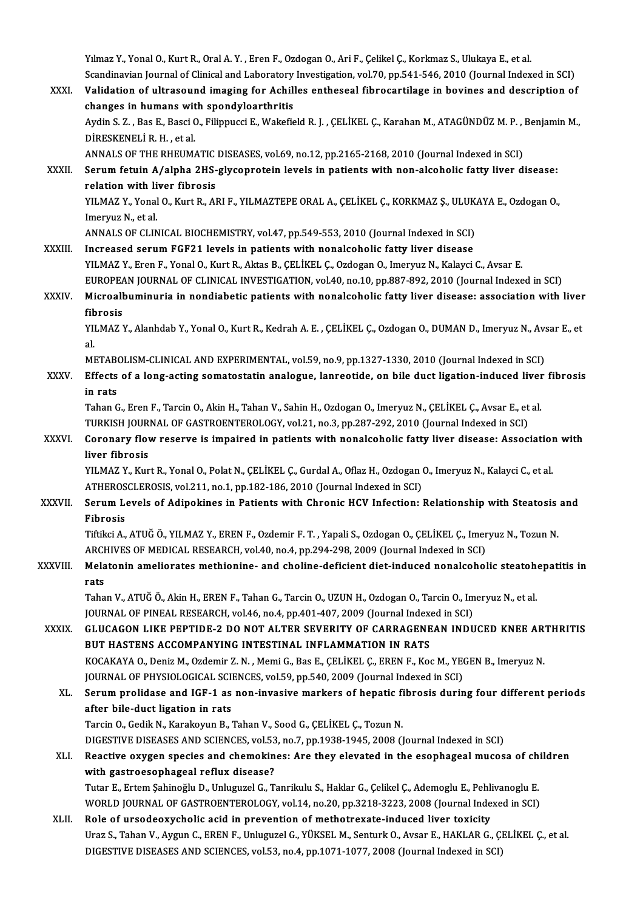Yılmaz Y., Yonal O., Kurt R., Oral A.Y., Eren F., Ozdogan O., Ari F., Çelikel Ç., Korkmaz S., Ulukaya E., et al. Yılmaz Y., Yonal O., Kurt R., Oral A. Y. , Eren F., Ozdogan O., Ari F., Çelikel Ç., Korkmaz S., Ulukaya E., et al.<br>Scandinavian Journal of Clinical and Laboratory Investigation, vol.70, pp.541-546, 2010 (Journal Indexed in

Yılmaz Y., Yonal O., Kurt R., Oral A. Y. , Eren F., Ozdogan O., Ari F., Çelikel Ç., Korkmaz S., Ulukaya E., et al.<br>Scandinavian Journal of Clinical and Laboratory Investigation, vol.70, pp.541-546, 2010 (Journal Indexed in Scandinavian Journal of Clinical and Laboratory<br>Validation of ultrasound imaging for Achill<br>changes in humans with spondyloarthritis<br>Ardin S.Z., Bos E. Bossi O. Filinnussi E. Wakafia Validation of ultrasound imaging for Achilles entheseal fibrocartilage in bovines and description of<br>changes in humans with spondyloarthritis<br>Aydin S. Z. , Bas E., Basci O., Filippucci E., Wakefield R. J. , ÇELİKEL Ç., Kar changes in humans with spondyloarthritis<br>Aydin S. Z. , Bas E., Basci O., Filippucci E., Wakefie<br>DİRESKENELİ R. H. . et al. Aydin S. Z. , Bas E., Basci O., Filippucci E., Wakefield R. J. , ÇELİKEL Ç., Karahan M., ATAGÜNDÜZ M. P. , .<br>DİRESKENELİ R. H. , et al.<br>ANNALS OF THE RHEUMATIC DISEASES, vol.69, no.12, pp.2165-2168, 2010 (Journal Indexed i XXXII. Serum fetuin A/alpha 2HS-glycoprotein levels in patients with non-alcoholic fatty liver disease:<br>relation with liver fibrosis ANNALS OF THE RHEUMATIC DISEASES, vol.69, no.12, pp.2165-2168, 2010 (Journal Indexed in SCI) Serum fetuin A/alpha 2HS-glycoprotein levels in patients with non-alcoholic fatty liver disease:<br>relation with liver fibrosis<br>YILMAZ Y., Yonal O., Kurt R., ARI F., YILMAZTEPE ORAL A., ÇELİKEL Ç., KORKMAZ Ş., ULUKAYA E., Oz **Telation with li**<br>IMEXTY., Yonal<br>Imeryuz N., et al.<br>ANNALS OF CLIN YILMAZ Y., Yonal O., Kurt R., ARI F., YILMAZTEPE ORAL A., ÇELİKEL Ç., KORKMAZ Ş., ULUK<br>Imeryuz N., et al.<br>ANNALS OF CLINICAL BIOCHEMISTRY, vol.47, pp.549-553, 2010 (Journal Indexed in SCI)<br>Ineressed serum EGE21 levels in p Imeryuz N., et al.<br>ANNALS OF CLINICAL BIOCHEMISTRY, vol.47, pp.549-553, 2010 (Journal Indexed in SCI)<br>XXXIII. Increased serum FGF21 levels in patients with nonalcoholic fatty liver disease YILMAZ Y., Eren F., Yonal O., Kurt R., Aktas B., ÇELİKEL Ç., Ozdogan O., Imeryuz N., Kalayci C., Avsar E. Increased serum FGF21 levels in patients with nonalcoholic fatty liver disease<br>YILMAZ Y., Eren F., Yonal O., Kurt R., Aktas B., ÇELİKEL Ç., Ozdogan O., Imeryuz N., Kalayci C., Avsar E.<br>EUROPEAN JOURNAL OF CLINICAL INVESTIG YILMAZ Y., Eren F., Yonal O., Kurt R., Aktas B., ÇELİKEL Ç., Ozdogan O., Imeryuz N., Kalayci C., Avsar E.<br>EUROPEAN JOURNAL OF CLINICAL INVESTIGATION, vol.40, no.10, pp.887-892, 2010 (Journal Indexed in SCI)<br>XXXIV. Micr EUROPEA<br>Microall<br>fibrosis<br><sup>VII MAZ</sup> Microalbuminuria in nondiabetic patients with nonalcoholic fatty liver disease: association with liver<br>fibrosis<br>YILMAZ Y., Alanhdab Y., Yonal O., Kurt R., Kedrah A. E. , ÇELİKEL Ç., Ozdogan O., DUMAN D., Imeryuz N., Avsar fib<br>Yll<br>al.<br>M YILMAZ Y., Alanhdab Y., Yonal O., Kurt R., Kedrah A. E. , ÇELİKEL Ç., Ozdogan O., DUMAN D., Imeryuz N., Av.<br>al.<br>METABOLISM-CLINICAL AND EXPERIMENTAL, vol.59, no.9, pp.1327-1330, 2010 (Journal Indexed in SCI)<br>Effects of a l al.<br>METABOLISM-CLINICAL AND EXPERIMENTAL, vol.59, no.9, pp.1327-1330, 2010 (Journal Indexed in SCI)<br>XXXV. Effects of a long-acting somatostatin analogue, lanreotide, on bile duct ligation-induced liver fibrosis<br>in rats METABOLISM-CLINICAL AND EXPERIMENTAL, vol.59, no.9, pp.1327-1330, 2010 (Journal Indexed in SCI) Effects of a long-acting somatostatin analogue, lanreotide, on bile duct ligation-induced liver<br>in rats<br>Tahan G., Eren F., Tarcin O., Akin H., Tahan V., Sahin H., Ozdogan O., Imeryuz N., ÇELİKEL Ç., Avsar E., et al<br>TURKISH i<mark>n rats</mark><br>Tahan G., Eren F., Tarcin O., Akin H., Tahan V., Sahin H., Ozdogan O., Imeryuz N., ÇELİKEL Ç., Avsar E., et<br>TURKISH JOURNAL OF GASTROENTEROLOGY, vol.21, no.3, pp.287-292, 2010 (Journal Indexed in SCI)<br>Coronary fl Tahan G., Eren F., Tarcin O., Akin H., Tahan V., Sahin H., Ozdogan O., Imeryuz N., ÇELİKEL Ç., Avsar E., et al.<br>TURKISH JOURNAL OF GASTROENTEROLOGY, vol.21, no.3, pp.287-292, 2010 (Journal Indexed in SCI)<br>XXXVI. Coronary f TURKISH JOURNAL OF GASTROENTEROLOGY, vol.21, no.3, pp.287-292, 2010 (Journal Indexed in SCI)<br>Coronary flow reserve is impaired in patients with nonalcoholic fatty liver disease: Assoc<br>liver fibrosis Coronary flow reserve is impaired in patients with nonalcoholic fatty liver disease: Association<br>Iiver fibrosis<br>YILMAZ Y., Kurt R., Yonal O., Polat N., ÇELİKEL Ç., Gurdal A., Oflaz H., Ozdogan O., Imeryuz N., Kalayci C., e YILMAZ Y., Kurt R., Yonal O., Polat N., ÇELİKEL Ç., Gurdal A., Oflaz H., Ozdogan O., Imeryuz N., Kalayci C., et al.<br>ATHEROSCLEROSIS, vol.211, no.1, pp.182-186, 2010 (Journal Indexed in SCI) YILMAZ Y., Kurt R., Yonal O., Polat N., ÇELİKEL Ç., Gurdal A., Oflaz H., Ozdogan O., Imeryuz N., Kalayci C., et al.<br>ATHEROSCLEROSIS, vol.211, no.1, pp.182-186, 2010 (Journal Indexed in SCI)<br>XXXVII. Serum Levels of Adipokin ATHEROS<br>Serum Le<br>Fibrosis<br>Tiftiksi A Serum Levels of Adipokines in Patients with Chronic HCV Infection: Relationship with Steatosis<br>Fibrosis<br>Tiftikci A., ATUĞ Ö., YILMAZ Y., EREN F., Ozdemir F. T. , Yapali S., Ozdogan O., ÇELİKEL Ç., Imeryuz N., Tozun N<br>ARCHI Fibrosis<br>Tiftikci A., ATUĞ Ö., YILMAZ Y., EREN F., Ozdemir F. T. , Yapali S., Ozdogan O., ÇELİKEL Ç., Imer<br>ARCHIVES OF MEDICAL RESEARCH, vol.40, no.4, pp.294-298, 2009 (Journal Indexed in SCI)<br>Melatenin amelianates methian Tiftikci A., ATUĞ Ö., YILMAZ Y., EREN F., Ozdemir F. T. , Yapali S., Ozdogan O., ÇELİKEL Ç., Imeryuz N., Tozun N.<br>ARCHIVES OF MEDICAL RESEARCH, vol.40, no.4, pp.294-298, 2009 (Journal Indexed in SCI)<br>XXXVIII. Melatonin ame ARCH<br>Mela<br>rats Melatonin ameliorates methionine- and choline-deficient diet-induced nonalcoholic steatoh<br>rats<br>Tahan V., ATUĞ Ö., Akin H., EREN F., Tahan G., Tarcin O., UZUN H., Ozdogan O., Tarcin O., Imeryuz N., et al.<br>JOURNAL OF RINEAL rats<br>Tahan V., ATUĞ Ö., Akin H., EREN F., Tahan G., Tarcin O., UZUN H., Ozdogan O., Tarcin O., Imeryuz N., et al.<br>JOURNAL OF PINEAL RESEARCH. vol.46. no.4. pp.401-407. 2009 (Journal Indexed in SCI) Tahan V., ATUĞ Ö., Akin H., EREN F., Tahan G., Tarcin O., UZUN H., Ozdogan O., Tarcin O., Imeryuz N., et al.<br>JOURNAL OF PINEAL RESEARCH, vol.46, no.4, pp.401-407, 2009 (Journal Indexed in SCI)<br>XXXIX. GLUCAGON LIKE PEPTIDE-JOURNAL OF PINEAL RESEARCH, vol.46, no.4, pp.401-407, 2009 (Journal Index GLUCAGON LIKE PEPTIDE-2 DO NOT ALTER SEVERITY OF CARRAGENE<br>BUT HASTENS ACCOMPANYING INTESTINAL INFLAMMATION IN RATS<br>VOCAKAYA O. Daniz M. Ozdamir 7, GLUCAGON LIKE PEPTIDE-2 DO NOT ALTER SEVERITY OF CARRAGENEAN INDUCED KNEE AR'<br>BUT HASTENS ACCOMPANYING INTESTINAL INFLAMMATION IN RATS<br>KOCAKAYA O., Deniz M., Ozdemir Z.N. , Memi G., Bas E., ÇELİKEL Ç., EREN F., Koc M., YEG BUT HASTENS ACCOMPANYING INTESTINAL INFLAMMATION IN RATS<br>KOCAKAYA O., Deniz M., Ozdemir Z. N. , Memi G., Bas E., ÇELİKEL Ç., EREN F., Koc M., YEGEN B., Imeryuz N.<br>JOURNAL OF PHYSIOLOGICAL SCIENCES, vol.59, pp.540, 2009 (Jo KOCAKAYA O., Deniz M., Ozdemir Z. N. , Memi G., Bas E., ÇELİKEL Ç., EREN F., Koc M., YEGEN B., Imeryuz N.<br>JOURNAL OF PHYSIOLOGICAL SCIENCES, vol.59, pp.540, 2009 (Journal Indexed in SCI)<br>XL. Serum prolidase and IGF-1 as no JOURNAL OF PHYSIOLOGICAL SCII<br>Serum prolidase and IGF-1 as<br>after bile-duct ligation in rats<br>Targin O. Codik N. Karakayun B. Serum prolidase and IGF-1 as non-invasive markers of hepatic fi<br>after bile-duct ligation in rats<br>Tarcin O., Gedik N., Karakoyun B., Tahan V., Sood G., ÇELİKEL Ç., Tozun N.<br>DICESTIVE DISEASES AND SCIENCES vol 52 no 7 nn 193 after bile-duct ligation in rats<br>Tarcin O., Gedik N., Karakoyun B., Tahan V., Sood G., ÇELİKEL Ç., Tozun N.<br>DIGESTIVE DISEASES AND SCIENCES, vol.53, no.7, pp.1938-1945, 2008 (Journal Indexed in SCI)<br>Boastive exygen anegies Tarcin O., Gedik N., Karakoyun B., Tahan V., Sood G., ÇELİKEL Ç., Tozun N.<br>DIGESTIVE DISEASES AND SCIENCES, vol.53, no.7, pp.1938-1945, 2008 (Journal Indexed in SCI)<br>XLI. Reactive oxygen species and chemokines: Are they el DIGESTIVE DISEASES AND SCIENCES, vol.53<br>Reactive oxygen species and chemokin<br>with gastroesophageal reflux disease?<br>Tutar E. Ertam Sobinoğlu D. Unlugural G. T Reactive oxygen species and chemokines: Are they elevated in the esophageal mucosa of ch<br>with gastroesophageal reflux disease?<br>Tutar E., Ertem Şahinoğlu D., Unluguzel G., Tanrikulu S., Haklar G., Çelikel Ç., Ademoglu E., P with gastroesophageal reflux disease?<br>Tutar E., Ertem Şahinoğlu D., Unluguzel G., Tanrikulu S., Haklar G., Çelikel Ç., Ademoglu E., Pehlivanoglu E.<br>WORLD JOURNAL OF GASTROENTEROLOGY, vol.14, no.20, pp.3218-3223, 2008 (Jour Tutar E., Ertem Şahinoğlu D., Unluguzel G., Tanrikulu S., Haklar G., Çelikel Ç., Ademoglu E., Pehli<br>WORLD JOURNAL OF GASTROENTEROLOGY, vol.14, no.20, pp.3218-3223, 2008 (Journal Inde<br>XLII. Role of ursodeoxycholic acid in p

WORLD JOURNAL OF GASTROENTEROLOGY, vol.14, no.20, pp.3218-3223, 2008 (Journal Indexed in SCI)<br>Role of ursodeoxycholic acid in prevention of methotrexate-induced liver toxicity<br>Uraz S., Tahan V., Aygun C., EREN F., Unluguze DIGESTIVE DISEASES AND SCIENCES, vol.53, no.4, pp.1071-1077, 2008 (Journal Indexed in SCI)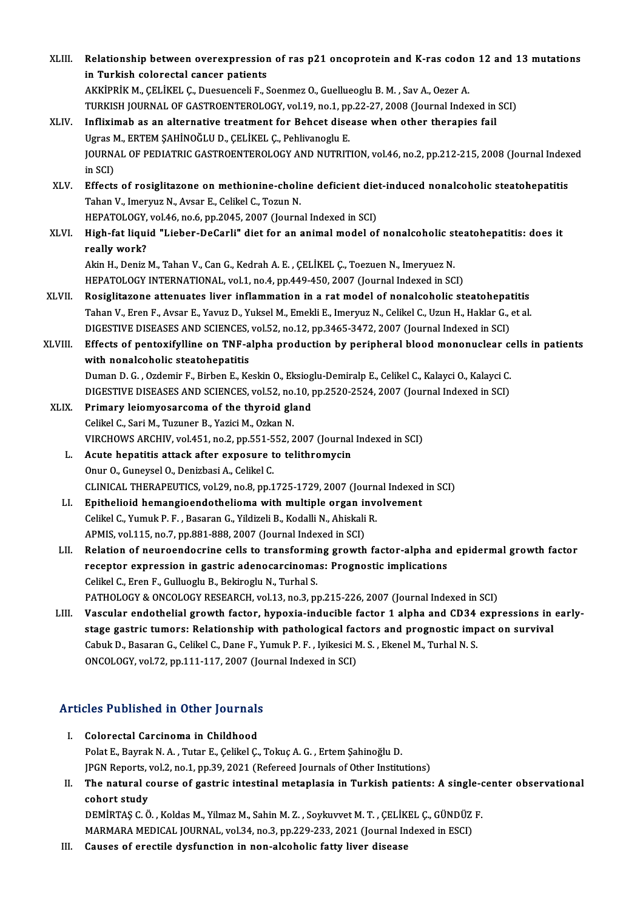| XLIII.       | Relationship between overexpression of ras p21 oncoprotein and K-ras codon 12 and 13 mutations                     |
|--------------|--------------------------------------------------------------------------------------------------------------------|
|              | in Turkish colorectal cancer patients                                                                              |
|              | AKKİPRİK M., ÇELİKEL Ç., Duesuenceli F., Soenmez O., Guellueoglu B. M., Sav A., Oezer A.                           |
|              | TURKISH JOURNAL OF GASTROENTEROLOGY, vol.19, no.1, pp.22-27, 2008 (Journal Indexed in SCI)                         |
| XLIV.        | Infliximab as an alternative treatment for Behcet disease when other therapies fail                                |
|              | Ugras M., ERTEM ŞAHİNOĞLU D., ÇELİKEL Ç., Pehlivanoglu E.                                                          |
|              | JOURNAL OF PEDIATRIC GASTROENTEROLOGY AND NUTRITION, vol.46, no.2, pp.212-215, 2008 (Journal Indexed               |
|              | in SCI)                                                                                                            |
| XLV.         | Effects of rosiglitazone on methionine-choline deficient diet-induced nonalcoholic steatohepatitis                 |
|              | Tahan V., Imeryuz N., Avsar E., Celikel C., Tozun N.                                                               |
|              | HEPATOLOGY, vol.46, no.6, pp.2045, 2007 (Journal Indexed in SCI)                                                   |
| XLVI.        | High-fat liquid "Lieber-DeCarli" diet for an animal model of nonalcoholic steatohepatitis: does it<br>really work? |
|              | Akin H., Deniz M., Tahan V., Can G., Kedrah A. E., ÇELİKEL Ç., Toezuen N., Imeryuez N.                             |
|              | HEPATOLOGY INTERNATIONAL, vol.1, no.4, pp.449-450, 2007 (Journal Indexed in SCI)                                   |
| <b>XLVII</b> | Rosiglitazone attenuates liver inflammation in a rat model of nonalcoholic steatohepatitis                         |
|              | Tahan V., Eren F., Avsar E., Yavuz D., Yuksel M., Emekli E., Imeryuz N., Celikel C., Uzun H., Haklar G., et al     |
|              | DIGESTIVE DISEASES AND SCIENCES, vol.52, no.12, pp.3465-3472, 2007 (Journal Indexed in SCI)                        |
| XLVIII.      | Effects of pentoxifylline on TNF-alpha production by peripheral blood mononuclear cells in patients                |
|              | with nonalcoholic steatohepatitis                                                                                  |
|              | Duman D. G., Ozdemir F., Birben E., Keskin O., Eksioglu-Demiralp E., Celikel C., Kalayci O., Kalayci C.            |
|              | DIGESTIVE DISEASES AND SCIENCES, vol.52, no.10, pp.2520-2524, 2007 (Journal Indexed in SCI)                        |
| XLIX.        | Primary leiomyosarcoma of the thyroid gland                                                                        |
|              | Celikel C., Sari M., Tuzuner B., Yazici M., Ozkan N.                                                               |
|              | VIRCHOWS ARCHIV, vol.451, no.2, pp.551-552, 2007 (Journal Indexed in SCI)                                          |
| L.           | Acute hepatitis attack after exposure to telithromycin                                                             |
|              | Onur O., Guneysel O., Denizbasi A., Celikel C.                                                                     |
|              | CLINICAL THERAPEUTICS, vol.29, no.8, pp.1725-1729, 2007 (Journal Indexed in SCI)                                   |
| LI.          | Epithelioid hemangioendothelioma with multiple organ involvement                                                   |
|              | Celikel C., Yumuk P. F., Basaran G., Yildizeli B., Kodalli N., Ahiskali R.                                         |
|              | APMIS, vol.115, no.7, pp.881-888, 2007 (Journal Indexed in SCI)                                                    |
| LII.         | Relation of neuroendocrine cells to transforming growth factor-alpha and epidermal growth factor                   |
|              | receptor expression in gastric adenocarcinomas: Prognostic implications                                            |
|              | Celikel C., Eren F., Gulluoglu B., Bekiroglu N., Turhal S.                                                         |
|              | PATHOLOGY & ONCOLOGY RESEARCH, vol.13, no.3, pp.215-226, 2007 (Journal Indexed in SCI)                             |
| LIII.        | Vascular endothelial growth factor, hypoxia-inducible factor 1 alpha and CD34 expressions in early-                |
|              | stage gastric tumors: Relationship with pathological factors and prognostic impact on survival                     |
|              | Cabuk D., Basaran G., Celikel C., Dane F., Yumuk P. F., Iyikesici M. S., Ekenel M., Turhal N. S.                   |
|              | ONCOLOGY, vol.72, pp.111-117, 2007 (Journal Indexed in SCI)                                                        |
|              |                                                                                                                    |

# Articles Published in Other Journals

**Tricles Published in Other Journals**<br>I. Colorectal Carcinoma in Childhood<br>Polat E. Boural: N.A. Tutar E. Colital C. I. Colorectal Carcinoma in Childhood<br>Polat E., Bayrak N.A. , Tutar E., Çelikel Ç., Tokuç A.G. , Ertem Şahinoğlu D. Colorectal Carcinoma in Childhood<br>Polat E., Bayrak N. A. , Tutar E., Çelikel Ç., Tokuç A. G. , Ertem Şahinoğlu D.<br>JPGN Reports, vol.2, no.1, pp.39, 2021 (Refereed Journals of Other Institutions)<br>The natural sourse of gastr II. The natural course of gastric intestinal metaplasia in Turkish patients: A single-center observational cohort study **JPGN Reports,<br>The natural c<br>cohort study<br>DEMIPTAS G Ö** 

The natural course of gastric intestinal metaplasia in Turkish patients: A single-cohort study<br>cohort study<br>DEMİRTAŞ C.Ö., Koldas M., Yilmaz M., Sahin M. Z. , Soykuvvet M. T. , ÇELİKEL Ç., GÜNDÜZ F.<br>MARMARA MEDICAL JOURNAL cohort study<br>DEMİRTAŞ C. Ö. , Koldas M., Yilmaz M., Sahin M. Z. , Soykuvvet M. T. , ÇELİKEL Ç., GÜNDÜZ<br>MARMARA MEDICAL JOURNAL, vol.34, no.3, pp.229-233, 2021 (Journal Indexed in ESCI)<br>Causes of anastile dugfungtion in non DEMIRTAŞ C. Ö. , Koldas M., Yilmaz M., Sahin M. Z. , Soykuvvet M. T. , ÇELİK<br>MARMARA MEDICAL JOURNAL, vol.34, no.3, pp.229-233, 2021 (Journal In<br>III. Causes of erectile dysfunction in non-alcoholic fatty liver disease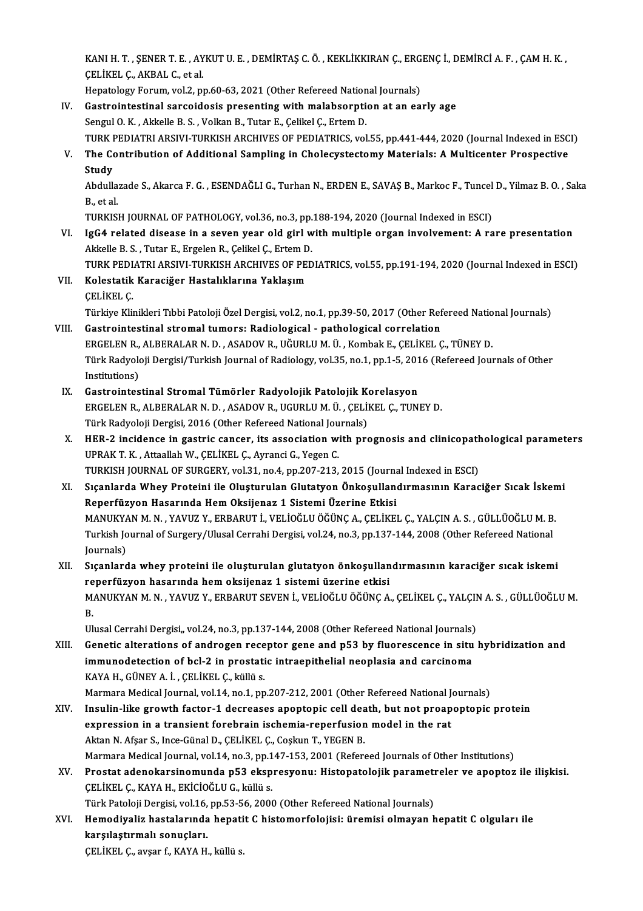KANI H. T. , ŞENER T. E. , AYKUT U. E. , DEMİRTAŞ C. Ö. , KEKLİKKIRAN Ç., ERGENÇ İ., DEMİRCİ A. F. , ÇAM H. K.<br>ÇELİKEL G. AKRAL G. et el KANI H. T. , ŞENER T. E. , AY<br>ÇELİKEL Ç., AKBAL C., et al.<br>Hanatalagı: Farum, yal 2, nı KANI H. T. , ŞENER T. E. , AYKUT U. E. , DEMİRTAŞ C. Ö. , KEKLİKKIRAN Ç., ERG<br>ÇELİKEL Ç., AKBAL C., et al.<br>Hepatology Forum, vol.2, pp.60-63, 2021 (Other Refereed National Journals)<br>Castrointestinal sarsaidesis presenting

Hepatology Forum, vol.2, pp.60-63, 2021 (Other Refereed National Journals)

- CELIKEL C., AKBAL C., et al.<br>Hepatology Forum, vol.2, pp.60-63, 2021 (Other Refereed National Journals)<br>IV. Gastrointestinal sarcoidosis presenting with malabsorption at an early age<br>Sengul O. K., Akkelle B. S., Volkan B., TURK PEDIATRI ARSIVI-TURKISH ARCHIVES OF PEDIATRICS, vol.55, pp.441-444, 2020 (Journal Indexed in ESCI)
- V. The Contribution of Additional Sampling in Cholecystectomy Materials: A Multicenter Prospective **Study** The Contribution of Additional Sampling in Cholecystectomy Materials: A Multicenter Prospective<br>Study<br>Abdullazade S., Akarca F. G. , ESENDAĞLI G., Turhan N., ERDEN E., SAVAŞ B., Markoc F., Tuncel D., Yilmaz B. O. , Saka<br>B.

**Study<br>Abdulla:<br>B., et al.<br>TURKISI** Abdullazade S., Akarca F. G. , ESENDAĞLI G., Turhan N., ERDEN E., SAVAŞ B., Markoc F., Tuncel<br>B., et al.<br>TURKISH JOURNAL OF PATHOLOGY, vol.36, no.3, pp.188-194, 2020 (Journal Indexed in ESCI)<br>IgC4 related disease in a seve

B., et al.<br>TURKISH JOURNAL OF PATHOLOGY, vol.36, no.3, pp.188-194, 2020 (Journal Indexed in ESCI)<br>VI. IgG4 related disease in a seven year old girl with multiple organ involvement: A rare presentation<br>Alticle B.S. Tut TURKISH JOURNAL OF PATHOLOGY, vol.36, no.3, pp.<br>IgG4 related disease in a seven year old girl w<br>Akkelle B. S. , Tutar E., Ergelen R., Çelikel Ç., Ertem D.<br>TURK REDIATRI ARSIVI TURKISH ARGHIVES OF RED IgG4 related disease in a seven year old girl with multiple organ involvement: A rare presentation<br>Akkelle B. S. , Tutar E., Ergelen R., Çelikel Ç., Ertem D.<br>TURK PEDIATRI ARSIVI-TURKISH ARCHIVES OF PEDIATRICS, vol.55, pp.

Akkelle B. S. , Tutar E., Ergelen R., Çelikel Ç., Ertem D<br>TURK PEDIATRI ARSIVI-TURKISH ARCHIVES OF PE<br>VII. Kolestatik Karaciğer Hastalıklarına Yaklaşım<br>CELİKEL C TURK PED<mark>I</mark><br>Kolestatik<br>ÇELİKEL Ç.<br>Türkiye Kli VII. Kolestatik Karaciğer Hastalıklarına Yaklaşım<br>ÇELİKEL Ç.<br>Türkiye Klinikleri Tıbbi Patoloji Özel Dergisi, vol.2, no.1, pp.39-50, 2017 (Other Refereed National Journals) CELİKEL Ç.<br>Türkiye Klinikleri Tıbbi Patoloji Özel Dergisi, vol.2, no.1, pp.39-50, 2017 (Other Ref<br>VIII. Gastrointestinal stromal tumors: Radiological - pathological correlation<br>FRCELEN B. ALBERALAR N.D. ASADOV B. UĞURLU M.

Türkiye Klinikleri Tıbbi Patoloji Özel Dergisi, vol.2, no.1, pp.39-50, 2017 (Other Refereed Natio<br>Gastrointestinal stromal tumors: Radiological - pathological correlation<br>ERGELEN R., ALBERALAR N. D. , ASADOV R., UĞURLU M. Gastrointestinal stromal tumors: Radiological - pathological correlation<br>ERGELEN R., ALBERALAR N. D. , ASADOV R., UĞURLU M. Ü. , Kombak E., ÇELİKEL Ç., TÜNEY D.<br>Türk Radyoloji Dergisi/Turkish Journal of Radiology, vol.35, ERGELEN R.,<br>Türk Radyolo<br>Institutions)<br>Castrointes Türk Radyoloji Dergisi/Turkish Journal of Radiology, vol.35, no.1, pp.1-5, 201<br>Institutions)<br>IX. Gastrointestinal Stromal Tümörler Radyolojik Patolojik Korelasyon<br>ERCELEN R. ALBERALAR N.D. ASADOV R. IICURLIM Ü. CELİKEL C.

- Institutions)<br>Gastrointestinal Stromal Tümörler Radyolojik Patolojik Korelasyon<br>ERGELEN R., ALBERALAR N. D. , ASADOV R., UGURLU M. Ü. , ÇELİKEL Ç., TUNEY D.<br>Türk Badyoloji Dergisi, 2016 (Other Pefereed National Jeurnale) Gastrointestinal Stromal Tümörler Radyolojik Patolojik K<br>ERGELEN R., ALBERALAR N. D. , ASADOV R., UGURLU M. Ü. , ÇELİ<br>Türk Radyoloji Dergisi, 2016 (Other Refereed National Journals)<br>HEP 2. insidense in gestris sensor, its
- ERGELEN R., ALBERALAR N. D. , ASADOV R., UGURLU M. Ü. , ÇELİKEL Ç., TUNEY D.<br>Türk Radyoloji Dergisi, 2016 (Other Refereed National Journals)<br>X. HER-2 incidence in gastric cancer, its association with prognosis and clinicop Türk Radyoloji Dergisi, 2016 (Other Refereed National Journals)<br>HER-2 incidence in gastric cancer, its association with prognosis and clinicopatl<br>UPRAK T. K. , Attaallah W., ÇELİKEL Ç., Ayranci G., Yegen C.<br>TURKISH JOURNAL HER-2 incidence in gastric cancer, its association with prognosis and clinicopath<br>UPRAK T. K., Attaallah W., ÇELİKEL Ç., Ayranci G., Yegen C.<br>TURKISH JOURNAL OF SURGERY, vol.31, no.4, pp.207-213, 2015 (Journal Indexed in E
- XI. Sıçanlarda Whey Proteini ile Oluşturulan Glutatyon Önkoşullandırmasının Karaciğer Sıcak İskemi Reperfüzyon Hasarında HemOksijenaz 1 Sistemi Üzerine Etkisi Sıçanlarda Whey Proteini ile Oluşturulan Glutatyon Önkoşullandırmasının Karaciğer Sıcak İsken<br>Reperfüzyon Hasarında Hem Oksijenaz 1 Sistemi Üzerine Etkisi<br>MANUKYAN M. N. , YAVUZ Y., ERBARUT İ., VELİOĞLU ÖĞÜNÇ A., ÇELİKEL Ç Reperfüzyon Hasarında Hem Oksijenaz 1 Sistemi Üzerine Etkisi<br>MANUKYAN M. N. , YAVUZ Y., ERBARUT İ., VELİOĞLU ÖĞÜNÇ A., ÇELİKEL Ç., YALÇIN A. S. , GÜLLÜOĞLU M. B<br>Turkish Journal of Surgery/Ulusal Cerrahi Dergisi, vol.24, no MANUKY/<br>Turkish Jo<br>Journals)<br>Sicapland Turkish Journal of Surgery/Ulusal Cerrahi Dergisi, vol.24, no.3, pp.137-144, 2008 (Other Refereed National<br>Journals)<br>XII. Sıçanlarda whey proteini ile oluşturulan glutatyon önkoşullandırmasının karaciğer sıcak iskemi<br>R
- Journals)<br>Sıçanlarda whey proteini ile oluşturulan glutatyon önkoşullan<br>reperfüzyon hasarında hem oksijenaz 1 sistemi üzerine etkisi<br>MANUKYAN M.N. YAVUZ V. ERRARUT SEVEN İ. VELİQÖLU ÖĞÜNC A Sıçanlarda whey proteini ile oluşturulan glutatyon önkoşullandırmasının karaciğer sıcak iskemi<br>reperfüzyon hasarında hem oksijenaz 1 sistemi üzerine etkisi<br>MANUKYAN M. N. , YAVUZ Y., ERBARUT SEVEN İ., VELİOĞLU ÖĞÜNÇ A., ÇE re<br>M.<br>II. MANUKYAN M. N. , YAVUZ Y., ERBARUT SEVEN İ., VELİOĞLU ÖĞÜNÇ A., ÇELİKEL Ç., YALÇII<br>B.<br>Ulusal Cerrahi Dergisi,, vol.24, no.3, pp.137-144, 2008 (Other Refereed National Journals)<br>Constis alterations of androgen resenter gane

B.<br>Ulusal Cerrahi Dergisi,, vol.24, no.3, pp.137-144, 2008 (Other Refereed National Journals)<br>XIII. Genetic alterations of androgen receptor gene and p53 by fluorescence in situ hybridization and<br>immunodatestion of hel Ulusal Cerrahi Dergisi,, vol.24, no.3, pp.137-144, 2008 (Other Refereed National Journals)<br>Genetic alterations of androgen receptor gene and p53 by fluorescence in situ<br>immunodetection of bcl-2 in prostatic intraepithelial Genetic alterations of androgen rece<br>immunodetection of bcl-2 in prostati<br>KAYA H., GÜNEY A. İ. , ÇELİKEL Ç., küllü s.<br>Marmara Medical Jaurnal val 14 no 1 nn immunodetection of bcl-2 in prostatic intraepithelial neoplasia and carcinoma<br>KAYA H., GÜNEY A. İ. , ÇELİKEL Ç., küllü s.<br>Marmara Medical Journal, vol.14, no.1, pp.207-212, 2001 (Other Refereed National Journals)

- KAYA H., GÜNEY A. İ. , ÇELİKEL Ç., küllü s.<br>Marmara Medical Journal, vol.14, no.1, pp.207-212, 2001 (Other Refereed National Journals)<br>XIV. Insulin-like growth factor-1 decreases apoptopic cell death, but not proapopto Marmara Medical Journal, vol.14, no.1, pp.207-212, 2001 (Other Refereed National J<br>Insulin-like growth factor-1 decreases apoptopic cell death, but not proap<br>expression in a transient forebrain ischemia-reperfusion model i Insulin-like growth factor-1 decreases apoptopic cell dea<br>expression in a transient forebrain ischemia-reperfusion<br>Aktan N. Afşar S., Ince-Günal D., ÇELİKEL Ç., Coşkun T., YEGEN B.<br>Marmara Medical Jaurnal val 14, no 2, np expression in a transient forebrain ischemia-reperfusion model in the rat<br>Aktan N. Afşar S., Ince-Günal D., ÇELİKEL Ç., Coşkun T., YEGEN B.<br>Marmara Medical Journal, vol.14, no.3, pp.147-153, 2001 (Refereed Journals of Othe
- XV. Prostat adenokarsinomunda p53 ekspresyonu: Histopatolojik parametreler ve apoptoz ile ilişkisi. ÇELİKEL Ç., KAYA H., EKİCİOĞLU G., küllü s. Prostat adenokarsinomunda p53 ekspresyonu: Histopatolojik parameti<br>ÇELİKEL Ç., KAYA H., EKİCİOĞLU G., küllü s.<br>Türk Patoloji Dergisi, vol.16, pp.53-56, 2000 (Other Refereed National Journals)<br>Hamadiyaliz bastalarında banat
- XVI. Hemodiyaliz hastalarında hepatit C histomorfolojisi: üremisi olmayan hepatit C olguları ile Türk Patoloji Dergisi, vol.16,<br>Hemodiyaliz hastalarında<br>karşılaştırmalı sonuçları.<br>CELİKEL C. 211201 f. KANA H

ÇELİKEL Ç., avşar f., KAYA H., küllü s.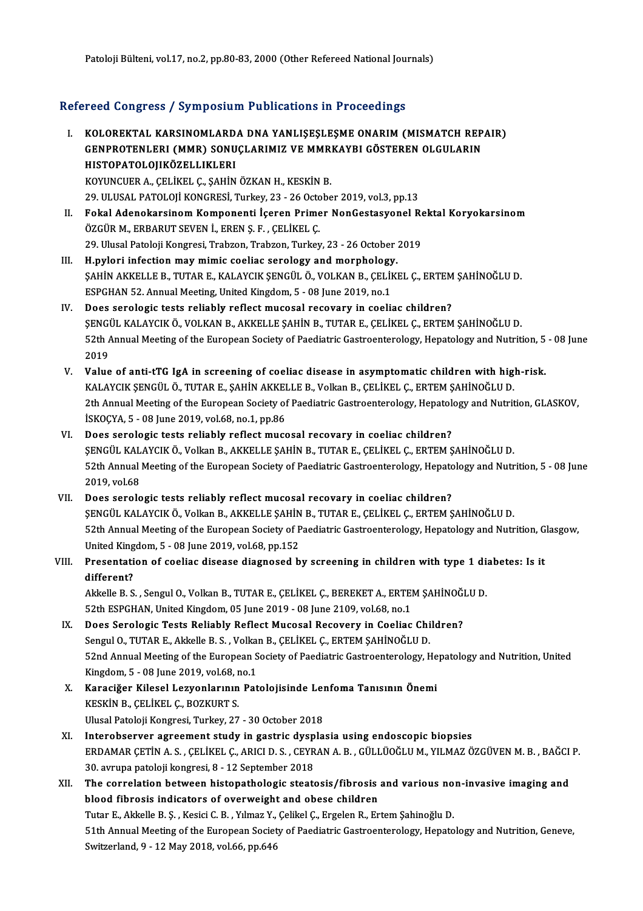Patoloji Bülteni, vol.17, no.2, pp.80-83, 2000 (Other Refereed National Journals)

### Refereed Congress / Symposium Publications in Proceedings

I. KOLOREKTAL KARSINOMLARDA DNA YANLIŞEŞLEŞME ONARIM(MISMATCH REPAIR) TOOR GÖNBLOGS / GJ.MPOORIM I RENGRIGNE IN TTOGGÖRINGS<br>KOLOREKTAL KARSINOMLARDA DNA YANLIŞEŞLEŞME ONARIM (MISMATCH REP<br>GENPROTENLERI (MMR) SONUÇLARIMIZ VE MMRKAYBI GÖSTEREN OLGULARIN<br>HISTORATOLOUKÖZELLIKLERI KOLOREKTAL KARSINOMLARD<br>GENPROTENLERI (MMR) SONU<br>HISTOPATOLOJIKÖZELLIKLERI<br>KOVINCUEP A-CELİKEL C-SAHİN GENPROTENLERI (MMR) SONUÇLARIMIZ VE MMR.<br>HISTOPATOLOJIKÖZELLIKLERI<br>KOYUNCUER A., ÇELİKEL Ç., ŞAHİN ÖZKAN H., KESKİN B.<br>29. ULUSAL BATOLOU KONCRESİ Turkov. 22., 26 Ostoba HISTOPATOLOJIKÖZELLIKLERI<br>KOYUNCUER A., ÇELİKEL Ç., ŞAHİN ÖZKAN H., KESKİN B.<br>29. ULUSAL PATOLOJİ KONGRESİ, Turkey, 23 - 26 October 2019, vol.3, pp.13

- KOYUNCUER A., ÇELİKEL Ç., ŞAHİN ÖZKAN H., KESKİN B.<br>29. ULUSAL PATOLOJİ KONGRESİ, Turkey, 23 26 October 2019, vol.3, pp.13<br>II. Fokal Adenokarsinom Komponenti İçeren Primer NonGestasyonel Rektal Koryokarsinom<br>ÖZCÜP M. ÖZGÜR M., ERBARUT SEVEN İ., EREN Ş. F. , ÇELİKEL Ç.<br>29. Ulusal Patoloji Kongresi, Trabzon, Trabzon, Turkey, 23 - 26 October 2019 Fokal Adenokarsinom Komponenti İçeren Primer NonGestasyonel Re<br>ÖZGÜR M., ERBARUT SEVEN İ., EREN Ş. F. , ÇELİKEL Ç.<br>29. Ulusal Patoloji Kongresi, Trabzon, Trabzon, Turkey, 23 - 26 October 2019<br>H nyloni infestion mey mimis s ÖZGÜR M., ERBARUT SEVEN İ., EREN Ş. F. , ÇELİKEL Ç.<br>29. Ulusal Patoloji Kongresi, Trabzon, Trabzon, Turkey, 23 - 26 October<br>III. H. **pylori infection may mimic coeliac serology and morphology.**<br>SAHIN AVVELLE B. TUTAR E. VA
- ŞAHİN AKKELLE B., TUTAR E., KALAYCIK ŞENGÜL Ö., VOLKAN B., ÇELİKEL Ç., ERTEM ŞAHİNOĞLU D.<br>ESPGHAN 52. Annual Meeting, United Kingdom, 5 08 June 2019, no.1 H.pylori infection may mimic coeliac serology and morphology<br>SAHİN AKKELLE B., TUTAR E., KALAYCIK ŞENGÜL Ö., VOLKAN B., ÇELİI<br>ESPGHAN 52. Annual Meeting, United Kingdom, 5 - 08 June 2019, no.1<br>Dess serologis tests reliably
- IV. Does serologic tests reliably reflect mucosal recovary in coeliac children? ESPGHAN 52. Annual Meeting, United Kingdom, 5 - 08 June 2019, no.1<br>Does serologic tests reliably reflect mucosal recovary in coeliac children?<br>ŞENGÜL KALAYCIK Ö., VOLKAN B., AKKELLE ŞAHİN B., TUTAR E., ÇELİKEL Ç., ERTEM ŞA 52th Annual Meeting of the European Society of Paediatric Gastroenterology, Hepatology and Nutrition, 5 - 08 June<br>2019 **ŞENGI<br>52th /<br>2019**<br>Value S2th Annual Meeting of the European Society of Paediatric Gastroenterology, Hepatology and Nutrition, 5<br>2019<br>V. Value of anti-tTG IgA in screening of coeliac disease in asymptomatic children with high-risk.<br>2014 AVCIX SENC
- 2019<br>Value of anti-tTG IgA in screening of coeliac disease in asymptomatic children with high<br>KALAYCIK ŞENGÜL Ö., TUTAR E., ŞAHİN AKKELLE B., Volkan B., ÇELİKEL Ç., ERTEM ŞAHİNOĞLU D.<br>2th Annual Meeting of the European Soc Value of anti-tTG IgA in screening of coeliac disease in asymptomatic children with high-risk.<br>KALAYCIK ŞENGÜL Ö., TUTAR E., ŞAHİN AKKELLE B., Volkan B., ÇELİKEL Ç., ERTEM ŞAHİNOĞLU D.<br>2th Annual Meeting of the European So KALAYCIK ŞENGÜL Ö., TUTAR E., ŞAHİN AKKELLE B., Volkan B., ÇELİKEL Ç., ERTEM ŞAHİNOĞLU D.<br>2th Annual Meeting of the European Society of Paediatric Gastroenterology, Hepatology and Nutrition, GLASKOV,<br>İSKOÇYA, 5 - 08 June 2
- VI. Does serologic tests reliably reflect mucosal recovary in coeliac children? İSKOÇYA, 5 - 08 June 2019, vol.68, no.1, pp.86<br>Does serologic tests reliably reflect mucosal recovary in coeliac children?<br>ŞENGÜL KALAYCIK Ö., Volkan B., AKKELLE ŞAHİN B., TUTAR E., ÇELİKEL Ç., ERTEM ŞAHİNOĞLU D.<br>52th Annu Does serologic tests reliably reflect mucosal recovary in coeliac children?<br>ŞENGÜL KALAYCIK Ö., Volkan B., AKKELLE ŞAHİN B., TUTAR E., ÇELİKEL Ç., ERTEM ŞAHİNOĞLU D.<br>52th Annual Meeting of the European Society of Paediatri **ŞENGÜL KAL<br>52th Annual<br>2019, vol.68<br>Dees serels** S2th Annual Meeting of the European Society of Paediatric Gastroenterology, Hepatc<br>2019, vol.68<br>VII. Does serologic tests reliably reflect mucosal recovary in coeliac children?<br>SENCÜL KALAYCIK Ö, Volkan B, AKKELLE SAHIN B,
- 2019, vol.68<br>Does serologic tests reliably reflect mucosal recovary in coeliac children?<br>ŞENGÜL KALAYCIK Ö., Volkan B., AKKELLE ŞAHİN B., TUTAR E., ÇELİKEL Ç., ERTEM ŞAHİNOĞLU D.<br>E<sup>2th Annual Meeting of the Euronean Seciet</sup> VII. Does serologic tests reliably reflect mucosal recovary in coeliac children?<br>ŞENGÜL KALAYCIK Ö., Volkan B., AKKELLE ŞAHİN B., TUTAR E., ÇELİKEL Ç., ERTEM ŞAHİNOĞLU D.<br>52th Annual Meeting of the European Society of Paed ŞENGÜL KALAYCIK Ö., Volkan B., AKKELLE ŞAHİN<br>52th Annual Meeting of the European Society of P<br>United Kingdom, 5 - 08 June 2019, vol.68, pp.152<br>Presentation of soolies disease diseneesd b 52th Annual Meeting of the European Society of Paediatric Gastroenterology, Hepatology and Nutrition, G<br>United Kingdom, 5 - 08 June 2019, vol.68, pp.152<br>VIII. Presentation of coeliac disease diagnosed by screening in child

### United Kingdom, 5 - 08 June 2019, vol.68, pp.152<br>Presentation of coeliac disease diagnosed by screening in children with type 1 dia<br>different?<br>Akkelle B. S. , Sengul O., Volkan B., TUTAR E., CELIKEL C., BEREKET A., ERTEM S Presentation of coeliac disease diagnosed by screening in children with type 1 dieneral<br>different?<br>Akkelle B. S. , Sengul O., Volkan B., TUTAR E., ÇELİKEL Ç., BEREKET A., ERTEM ŞAHİNOĞLU D.<br>52th ESPCHAN United Kingdom A5 J

different?<br>Akkelle B. S. , Sengul O., Volkan B., TUTAR E., ÇELİKEL Ç., BEREKET A., ERTEI<br>52th ESPGHAN, United Kingdom, 05 June 2019 - 08 June 2109, vol.68, no.1<br>Dess Saralagis Tests Boliably Beflest Musessl Besovery in Goo

- IX. Does Serologic Tests Reliably Reflect Mucosal Recovery in Coeliac Children?<br>Sengul O., TUTAR E., Akkelle B. S., Volkan B., ÇELİKEL Ç., ERTEM ŞAHİNOĞLU D. 52th ESPGHAN, United Kingdom, 05 June 2019 - 08 June 2109, vol.68, no.1<br>Does Serologic Tests Reliably Reflect Mucosal Recovery in Coeliac Chi<br>Sengul O., TUTAR E., Akkelle B. S. , Volkan B., ÇELİKEL Ç., ERTEM ŞAHİNOĞLU D.<br>5 Does Serologic Tests Reliably Reflect Mucosal Recovery in Coeliac Children?<br>Sengul O., TUTAR E., Akkelle B. S. , Volkan B., ÇELİKEL Ç., ERTEM ŞAHİNOĞLU D.<br>52nd Annual Meeting of the European Society of Paediatric Gastroent Sengul O., TUTAR E., Akkelle B. S. , Volka<br>52nd Annual Meeting of the European S<br>Kingdom, 5 - 08 June 2019, vol.68, no.1<br>Kanagičer Kilosel I europlaruun Bat 52nd Annual Meeting of the European Society of Paediatric Gastroenterology, He<br>Kingdom, 5 - 08 June 2019, vol.68, no.1<br>X. Karaciğer Kilesel Lezyonlarının Patolojisinde Lenfoma Tanısının Önemi<br>KESKİN B. CELİKEL G. BOZKUPT S
- Kingdom, 5 08 June 2019, vol.68, no.1<br>Karaciğer Kilesel Lezyonlarının Patolojisinde Le<br>KESKİN B., ÇELİKEL Ç., BOZKURT S.<br>Ulusal Patoloji Kongresi, Turkey, 27 30 October 2018 X. Karaciğer Kilesel Lezyonlarının Patolojisinde Lenfoma Tanısının Önemi
- XI. Interobserver agreement study in gastric dysplasia using endoscopic biopsies Ulusal Patoloji Kongresi, Turkey, 27 - 30 October 2018<br>Interobserver agreement study in gastric dysplasia using endoscopic biopsies<br>ERDAMAR ÇETİN A.S. , ÇELİKEL Ç., ARICI D. S. , CEYRAN A. B. , GÜLLÜOĞLU M., YILMAZ ÖZGÜVEN Interobserver agreement study in gastric dysp<br>ERDAMAR ÇETİN A.S., ÇELİKEL Ç., ARICI D.S., CEYR<br>30. avrupa patoloji kongresi, 8 - 12 September 2018<br>The conrelation between bistanathologis steats ERDAMAR ÇETİN A.S., ÇELİKEL Ç., ARICI D.S., CEYRAN A.B., GÜLLÜOĞLU M., YILMAZ ÖZGÜVEN M.B., BAĞCI<br>30. avrupa patoloji kongresi, 8 - 12 September 2018<br>XII. The correlation between histopathologic steatosis/fibrosis and
- 30. avrupa patoloji kongresi, 8 12 September 2018<br>The correlation between histopathologic steatosis/fibrosis and various non-invasive imaging and<br>blood fibrosis indicators of overweight and obese children The correlation between histopathologic steatosis/fibrosis and various no<br>blood fibrosis indicators of overweight and obese children<br>Tutar E., Akkelle B. Ş. , Kesici C. B. , Yılmaz Y., Çelikel Ç., Ergelen R., Ertem Şahinoğ 51th Annual Meeting of the European Society of Paediatric Gastroenterology, Hepatology and Nutrition, Geneve,<br>Switzerland, 9 - 12 May 2018, vol.66, pp.646 Tutar E., Akkelle B. Ş. , Kesici C. B. , Yılmaz Y.,<br>51th Annual Meeting of the European Societ<br>Switzerland, 9 - 12 May 2018, vol.66, pp.646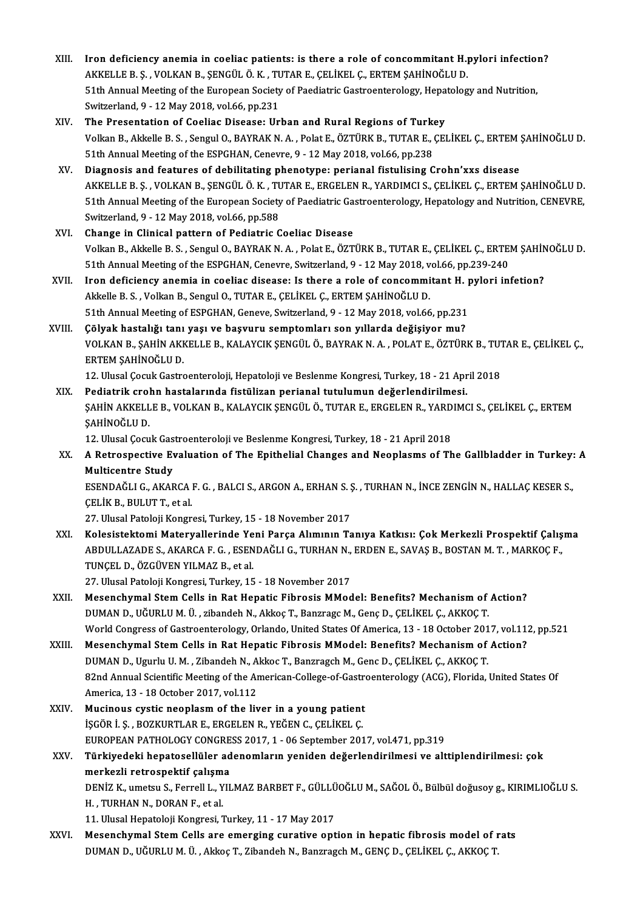- XIII. Iron deficiency anemia in coeliac patients: is there a role of concommitant H.pylori infection?<br>AKKELLE R.S. VOLKAN R.SENCÜLÖ K. TUTAR E. CELIKEL G. ERTEM SAHINOČLU D. Iron deficiency anemia in coeliac patients: is there a role of concommitant H.<sub>]</sub><br>AKKELLE B. Ş., VOLKAN B., ŞENGÜL Ö. K. , TUTAR E., ÇELİKEL Ç., ERTEM ŞAHİNOĞLU D.<br>E1th Annual Meeting of the European Seciety of Beedistric Iron deficiency anemia in coeliac patients: is there a role of concommitant H.pylori infection<br>AKKELLE B. Ş. , VOLKAN B., ŞENGÜL Ö. K. , TUTAR E., ÇELİKEL Ç., ERTEM ŞAHİNOĞLU D.<br>51th Annual Meeting of the European Society AKKELLE B. Ș. , VOLKAN B., ȘENGÜL Ö. K. , TUTAR E., ÇELİKEL Ç., ERTEM ŞAHİNOĞLU D.<br>51th Annual Meeting of the European Society of Paediatric Gastroenterology, Hepatology and Nutrition,<br>Switzerland, 9 - 12 May 2018, vol.66, 51th Annual Meeting of the European Society of Paediatric Gastroenterology, Hepa<br>Switzerland, 9 - 12 May 2018, vol.66, pp.231<br>XIV. The Presentation of Coeliac Disease: Urban and Rural Regions of Turkey<br>Volkan B. Akkalle B.
- Switzerland, 9 12 May 2018, vol.66, pp.231<br>The Presentation of Coeliac Disease: Urban and Rural Regions of Turkey<br>Volkan B., Akkelle B. S. , Sengul O., BAYRAK N. A. , Polat E., ÖZTÜRK B., TUTAR E., ÇELİKEL Ç., ERTEM ŞAHİ The Presentation of Coeliac Disease: Urban and Rural Regions of Turk<br>Volkan B., Akkelle B. S. , Sengul O., BAYRAK N. A. , Polat E., ÖZTÜRK B., TUTAR E., O<br>51th Annual Meeting of the ESPGHAN, Cenevre, 9 - 12 May 2018, vol.6 Volkan B., Akkelle B. S., Sengul O., BAYRAK N. A., Polat E., ÖZTÜRK B., TUTAR E., ÇELİKEL Ç., ERTEM :<br>51th Annual Meeting of the ESPGHAN, Cenevre, 9 - 12 May 2018, vol.66, pp.238<br>XV. Diagnosis and features of debilitating
- 51th Annual Meeting of the ESPGHAN, Cenevre, 9 12 May 2018, vol.66, pp.238<br>Diagnosis and features of debilitating phenotype: perianal fistulising Crohn'xxs disease<br>AKKELLE B. Ş. , VOLKAN B., ŞENGÜL Ö. K. , TUTAR E., ERGE Diagnosis and features of debilitating phenotype: perianal fistulising Crohn'xxs disease<br>AKKELLE B. S. , VOLKAN B., ŞENGÜL Ö. K. , TUTAR E., ERGELEN R., YARDIMCI S., ÇELİKEL Ç., ERTEM ŞAHİNOĞLU D.<br>51th Annual Meeting of th AKKELLE B. Ş. , VOLKAN B., ŞENGÜL Ö. K. , TU<br>51th Annual Meeting of the European Society<br>Switzerland, 9 - 12 May 2018, vol.66, pp.588<br>Change in Clinical nattern of Bediatric C 51th Annual Meeting of the European Society of Paediatric Gastroenterology, Hepatology and Nutrition, CENEVRE,<br>Switzerland, 9 - 12 May 2018, vol.66, pp.588<br>XVI. Change in Clinical pattern of Pediatric Coeliac Disease
- Volkan B., Akkelle B. S. , Sengul O., BAYRAK N. A. , Polat E., ÖZTÜRK B., TUTAR E., ÇELİKEL Ç., ERTEM ŞAHİNOĞLU D. Change in Clinical pattern of Pediatric Coeliac Disease<br>Volkan B., Akkelle B. S. , Sengul O., BAYRAK N. A. , Polat E., ÖZTÜRK B., TUTAR E., ÇELİKEL Ç., ERTE!<br>51th Annual Meeting of the ESPGHAN, Cenevre, Switzerland, 9 - 12 Volkan B., Akkelle B. S. , Sengul O., BAYRAK N. A. , Polat E., ÖZTÜRK B., TUTAR E., ÇELİKEL Ç., ERTEM ŞAHİN<br>51th Annual Meeting of the ESPGHAN, Cenevre, Switzerland, 9 - 12 May 2018, vol.66, pp.239-240<br>XVII. Iron deficienc
- 51th Annual Meeting of the ESPGHAN, Cenevre, Switzerland, 9 12 May 2018, v<br>Iron deficiency anemia in coeliac disease: Is there a role of concommi<br>Akkelle B. S. , Volkan B., Sengul O., TUTAR E., ÇELİKEL Ç., ERTEM ŞAHİNOĞL Iron deficiency anemia in coeliac disease: Is there a role of concommitant H. <sub>I</sub><br>Akkelle B. S. , Volkan B., Sengul O., TUTAR E., ÇELİKEL Ç., ERTEM ŞAHİNOĞLU D.<br>51th Annual Meeting of ESPGHAN, Geneve, Switzerland, 9 - 12 M Akkelle B. S. , Volkan B., Sengul O., TUTAR E., ÇELİKEL Ç., ERTEM ŞAHİNOĞLU D.<br>51th Annual Meeting of ESPGHAN, Geneve, Switzerland, 9 - 12 May 2018, vol.66, pp.231<br>707 XVIII. Cölvak hastalığı tanı yaşı ve başvuru sempt
- 51th Annual Meeting of ESPGHAN, Geneve, Switzerland, 9 12 May 2018, vol.66, pp.231<br>Çölyak hastalığı tanı yaşı ve başvuru semptomları son yıllarda değişiyor mu?<br>VOLKAN B., ŞAHİN AKKELLE B., KALAYCIK ŞENGÜL Ö., BAYRAK N. A ERTEM ŞAHİNOĞLU D.<br>12. Ulusal Çocuk Gastroenteroloji, Hepatoloji ve Beslenme Kongresi, Turkey, 18 - 21 April 2018 VOLKAN B., ŞAHİN AKKELLE B., KALAYCIK ŞENGÜL Ö., BAYRAK N. A. , POLAT E., ÖZTÜRK B., TUT<br>ERTEM ŞAHİNOĞLU D.<br>12. Ulusal Çocuk Gastroenteroloji, Hepatoloji ve Beslenme Kongresi, Turkey, 18 - 21 April 2018<br>Bediatrik sıraba ba

XIX. Pediatrik crohn hastalarında fistülizan perianal tutulumun değerlendirilmesi. 12. Ulusal Çocuk Gastroenteroloji, Hepatoloji ve Beslenme Kongresi, Turkey, 18 - 21 April 2018<br>Pediatrik crohn hastalarında fistülizan perianal tutulumun değerlendirilmesi.<br>ŞAHİN AKKELLE B., VOLKAN B., KALAYCIK ŞENGÜL Ö., Pediatrik crol<br>ŞAHİN AKKELL<br>ŞAHİNOĞLU D.<br>12 Hhrel Cecu SAHİN AKKELLE B., VOLKAN B., KALAYCIK ŞENGÜL Ö., TUTAR E., ERGELEN R., YARD<br>ŞAHİNOĞLU D.<br>12. Ulusal Çocuk Gastroenteroloji ve Beslenme Kongresi, Turkey, 18 - 21 April 2018<br>A Betroenestiye Evalustion of The Enithelial Chang

12. Ulusal Çocuk Gastroenteroloji ve Beslenme Kongresi, Turkey, 18 - 21 April 2018

SAHİNOĞLU D.<br>12. Ulusal Çocuk Gastroenteroloji ve Beslenme Kongresi, Turkey, 18 - 21 April 2018<br>XX. A Retrospective Evaluation of The Epithelial Changes and Neoplasms of The Gallbladder in Turkey: A<br>Multicentre Study A Retrospective Evaluation of The Epithelial Changes and Neoplasms of The Gallbladder in Turkey:<br>Multicentre Study<br>ESENDAĞLI G., AKARCA F. G. , BALCI S., ARGON A., ERHAN S. Ş. , TURHAN N., İNCE ZENGİN N., HALLAÇ KESER S.,<br>

Multicentre Study<br>ESENDAĞLI G., AKARCA<br>ÇELİK B., BULUT T., et al.<br>27. Illucal Patolaji Kangr ESENDAĞLI G., AKARCA F. G. , BALCI S., ARGON A., ERHAN S. ,<br>ÇELİK B., BULUT T., et al.<br>27. Ulusal Patoloji Kongresi, Turkey, 15 - 18 November 2017<br>Kolosistektomi Materuallerinde Veni Barsa Alımının Te

XELİK B., BULUT T., et al.<br>27. Ulusal Patoloji Kongresi, Turkey, 15 - 18 November 2017<br>XXI. Kolesistektomi Materyallerinde Yeni Parça Alımının Tanıya Katkısı: Çok Merkezli Prospektif Çalışma 27. Ulusal Patoloji Kongresi, Turkey, 15 - 18 November 2017<br>Kolesistektomi Materyallerinde Yeni Parça Alımının Tanıya Katkısı: Çok Merkezli Prospektif Çalış<br>ABDULLAZADE S., AKARCA F. G. , ESENDAĞLI G., TURHAN N., ERDEN E., Kolesistektomi Materyallerinde Ye<br>ABDULLAZADE S., AKARCA F. G. , ESEN<br>TUNÇEL D., ÖZGÜVEN YILMAZ B., et al.<br>27. Ulucal Pataleji Kangresi Turkay, 15 ABDULLAZADE S., AKARCA F. G. , ESENDAĞLI G., TURHAN N.,<br>TUNÇEL D., ÖZGÜVEN YILMAZ B., et al.<br>27. Ulusal Patoloji Kongresi, Turkey, 15 - 18 November 2017<br>Mesenshumal Stam Calls in Pat Hanatis Eihnesis MMed

- TUNÇEL D., ÖZGÜVEN YILMAZ B., et al.<br>27. Ulusal Patoloji Kongresi, Turkey, 15 18 November 2017<br>XXII. Mesenchymal Stem Cells in Rat Hepatic Fibrosis MModel: Benefits? Mechanism of Action?<br>DIMAN D. UĞURLUM Ü. Fibandab N. A 27. Ulusal Patoloji Kongresi, Turkey, 15 - 18 November 2017<br>Mesenchymal Stem Cells in Rat Hepatic Fibrosis MModel: Benefits? Mechanism of<br>DUMAN D., UĞURLU M. Ü. , zibandeh N., Akkoç T., Banzragc M., Genç D., ÇELİKEL Ç., AK DUMAN D., UĞURLU M. Ü. , zibandeh N., Akkoç T., Banzragc M., Genç D., ÇELİKEL Ç., AKKOÇ T.<br>World Congress of Gastroenterology, Orlando, United States Of America, 13 - 18 October 2017, vol.112, pp.521 DUMAN D., UĞURLU M. Ü. , zibandeh N., Akkoç T., Banzragc M., Genç D., ÇELİKEL Ç., AKKOÇ T.<br>World Congress of Gastroenterology, Orlando, United States Of America, 13 - 18 October 2017, vol.11<br>XXIII. Mesenchymal Stem Cells i
- World Congress of Gastroenterology, Orlando, United States Of America, 13 18 October 201<br>Mesenchymal Stem Cells in Rat Hepatic Fibrosis MModel: Benefits? Mechanism of<br>DUMAN D., Ugurlu U. M., Zibandeh N., Akkoc T., Banzra Mesenchymal Stem Cells in Rat Hepatic Fibrosis MModel: Benefits? Mechanism of Action?<br>DUMAN D., Ugurlu U. M. , Zibandeh N., Akkoc T., Banzragch M., Genc D., ÇELİKEL Ç., AKKOÇ T.<br>82nd Annual Scientific Meeting of the Americ DUMAN D., Ugurlu U. M. , Zibandeh N., Akkoc T., Banzragch M., Genc D., ÇELİKEL Ç., AKKOÇ T.<br>82nd Annual Scientific Meeting of the American-College-of-Gastroenterology (ACG), Florida, United States Of<br>America, 13 - 18 Octob 82nd Annual Scientific Meeting of the American-College-of-Gastro-<br>America, 13 - 18 October 2017, vol.112<br>XXIV. Mucinous cystic neoplasm of the liver in a young patient<br>is contained in a pozymetrane encountry of the liver c
- America, 13 18 October 2017, vol.112<br>Mucinous cystic neoplasm of the liver in a young patient<br>İŞGÖR İ. Ş., BOZKURTLAR E., ERGELEN R., YEĞEN C., ÇELİKEL Ç.<br>FUROPEAN PATHOLOCY CONCRESS 2017-1 06 Sontamber 201 Mucinous cystic neoplasm of the liver in a young patient<br>İŞGÖR İ. Ş. , BOZKURTLAR E., ERGELEN R., YEĞEN C., ÇELİKEL Ç.<br>EUROPEAN PATHOLOGY CONGRESS 2017, 1 - 06 September 2017, vol.471, pp.319<br>Türkiyedeki banatasellüler ada

### İŞGÖR İ. Ş. , BOZKURTLAR E., ERGELEN R., YEĞEN C., ÇELİKEL Ç.<br>EUROPEAN PATHOLOGY CONGRESS 2017, 1 - 06 September 2017, vol.471, pp.319<br>XXV. Türkiyedeki hepatosellüler adenomların yeniden değerlendirilmesi ve alttiplend EUROPEAN PATHOLOGY CONGRE<br>Türkiyedeki hepatosellüler ad<br>merkezli retrospektif çalışma<br>DENİZ Kaumatay Sa Farroll Lavu Türkiyedeki hepatosellüler adenomların yeniden değerlendirilmesi ve alttiplendirilmesi: çok<br>merkezli retrospektif çalışma<br>DENİZ K., umetsu S., Ferrell L., YILMAZ BARBET F., GÜLLÜOĞLU M., SAĞOL Ö., Bülbül doğusoy g., KIRIML

merkezli retrospektif çalışm<br>DENİZ K., umetsu S., Ferrell L., Y<br>H. , TURHAN N., DORAN F., et al.<br>11. Ulucal Hanataleji Kangresi 7 DENİZ K., umetsu S., Ferrell L., YILMAZ BARBET F., GÜLLÜ<br>H. , TURHAN N., DORAN F., et al.<br>11. Ulusal Hepatoloji Kongresi, Turkey, 11 - 17 May 2017<br>Mesanshumal Stam Calla are amerging sunative ant H. , TURHAN N., DORAN F., et al.<br>11. Ulusal Hepatoloji Kongresi, Turkey, 11 - 17 May 2017<br>XXVI. Mesenchymal Stem Cells are emerging curative option in hepatic fibrosis model of rats

DUMAND.,UĞURLUM.Ü. ,AkkoçT.,ZibandehN.,BanzragchM.,GENÇD.,ÇELİKEL Ç.,AKKOÇT.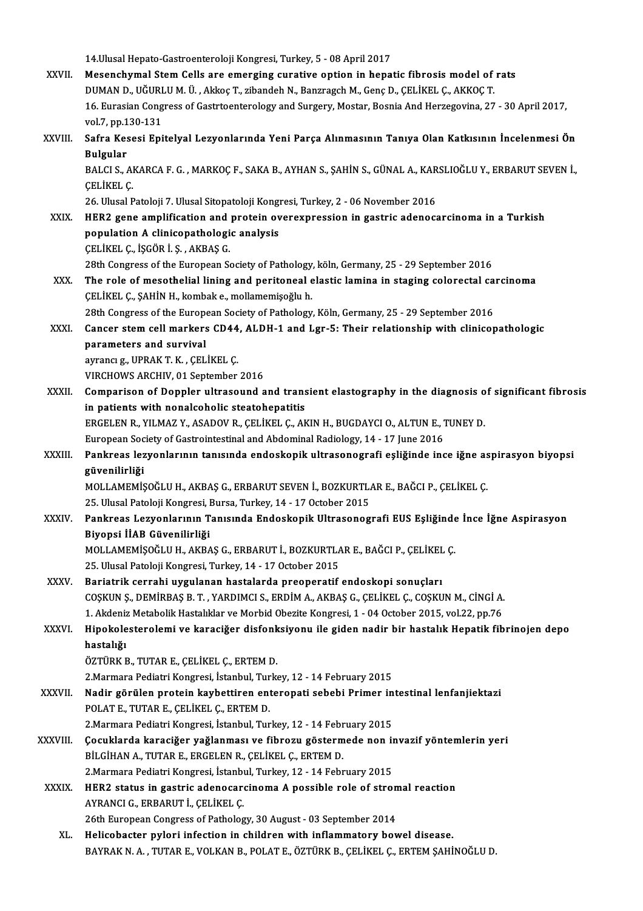|               | 14. Ulusal Hepato-Gastroenteroloji Kongresi, Turkey, 5 - 08 April 2017                                                                                                                         |
|---------------|------------------------------------------------------------------------------------------------------------------------------------------------------------------------------------------------|
| XXVII.        | Mesenchymal Stem Cells are emerging curative option in hepatic fibrosis model of rats                                                                                                          |
|               | DUMAN D., UĞURLU M. Ü., Akkoç T., zibandeh N., Banzragch M., Genç D., ÇELİKEL Ç., AKKOÇ T.                                                                                                     |
|               | 16. Eurasian Congress of Gastrtoenterology and Surgery, Mostar, Bosnia And Herzegovina, 27 - 30 April 2017,                                                                                    |
|               | vol 7, pp 130-131                                                                                                                                                                              |
| XXVIII.       | Safra Kesesi Epitelyal Lezyonlarında Yeni Parça Alınmasının Tanıya Olan Katkısının İncelenmesi Ön                                                                                              |
|               | <b>Bulgular</b>                                                                                                                                                                                |
|               | BALCI S., AKARCA F. G., MARKOÇ F., SAKA B., AYHAN S., ŞAHİN S., GÜNAL A., KARSLIOĞLU Y., ERBARUT SEVEN İ.,                                                                                     |
|               | ÇELİKEL Ç                                                                                                                                                                                      |
|               | 26. Ulusal Patoloji 7. Ulusal Sitopatoloji Kongresi, Turkey, 2 - 06 November 2016                                                                                                              |
| XXIX.         | HER2 gene amplification and protein overexpression in gastric adenocarcinoma in a Turkish                                                                                                      |
|               | population A clinicopathologic analysis                                                                                                                                                        |
|               | ÇELİKEL Ç., İŞGÖR İ. Ş., AKBAŞ G.                                                                                                                                                              |
|               | 28th Congress of the European Society of Pathology, köln, Germany, 25 - 29 September 2016                                                                                                      |
| XXX.          | The role of mesothelial lining and peritoneal elastic lamina in staging colorectal carcinoma                                                                                                   |
|               | ÇELİKEL Ç., ŞAHİN H., kombak e., mollamemişoğlu h.                                                                                                                                             |
| XXXI.         | 28th Congress of the European Society of Pathology, Köln, Germany, 25 - 29 September 2016<br>Cancer stem cell markers CD44, ALDH-1 and Lgr-5: Their relationship with clinicopathologic        |
|               | parameters and survival                                                                                                                                                                        |
|               | ayrancı g., UPRAK T. K., ÇELİKEL Ç.                                                                                                                                                            |
|               | VIRCHOWS ARCHIV, 01 September 2016                                                                                                                                                             |
| XXXII.        | Comparison of Doppler ultrasound and transient elastography in the diagnosis of significant fibrosis                                                                                           |
|               | in patients with nonalcoholic steatohepatitis                                                                                                                                                  |
|               | ERGELEN R., YILMAZ Y., ASADOV R., ÇELİKEL Ç., AKIN H., BUGDAYCI O., ALTUN E., TUNEY D.                                                                                                         |
|               | European Society of Gastrointestinal and Abdominal Radiology, 14 - 17 June 2016                                                                                                                |
| <b>XXXIII</b> | Pankreas lezyonlarının tanısında endoskopik ultrasonografi eşliğinde ince iğne aspirasyon biyopsi                                                                                              |
|               | güvenilirliği                                                                                                                                                                                  |
|               | MOLLAMEMIŞOĞLU H., AKBAŞ G., ERBARUT SEVEN İ., BOZKURTLAR E., BAĞCI P., ÇELİKEL Ç.                                                                                                             |
|               | 25. Ulusal Patoloji Kongresi, Bursa, Turkey, 14 - 17 October 2015                                                                                                                              |
| <b>XXXIV</b>  | Pankreas Lezyonlarının Tanısında Endoskopik Ultrasonografi EUS Eşliğinde İnce İğne Aspirasyon                                                                                                  |
|               | Biyopsi İİAB Güvenilirliği                                                                                                                                                                     |
|               | MOLLAMEMİŞOĞLU H., AKBAŞ G., ERBARUT İ., BOZKURTLAR E., BAĞCI P., ÇELİKEL Ç.                                                                                                                   |
|               | 25. Ulusal Patoloji Kongresi, Turkey, 14 - 17 October 2015                                                                                                                                     |
| XXXV.         | Bariatrik cerrahi uygulanan hastalarda preoperatif endoskopi sonuçları                                                                                                                         |
|               | COSKUN S., DEMIRBAS B. T., YARDIMCI S., ERDIM A., AKBAS G., CELIKEL C., COSKUN M., CINGI A.<br>1. Akdeniz Metabolik Hastalıklar ve Morbid Obezite Kongresi, 1 - 04 October 2015, vol.22, pp.76 |
| XXXVI.        | Hipokolesterolemi ve karaciğer disfonksiyonu ile giden nadir bir hastalık Hepatik fibrinojen depo                                                                                              |
|               | hastalığı                                                                                                                                                                                      |
|               | ÖZTÜRK B., TUTAR E., ÇELİKEL Ç., ERTEM D.                                                                                                                                                      |
|               | 2. Marmara Pediatri Kongresi, İstanbul, Turkey, 12 - 14 February 2015                                                                                                                          |
| XXXVII.       | Nadir görülen protein kaybettiren enteropati sebebi Primer intestinal lenfanjiektazi                                                                                                           |
|               | POLAT E., TUTAR E., CELIKEL C., ERTEM D.                                                                                                                                                       |
|               | 2. Marmara Pediatri Kongresi, İstanbul, Turkey, 12 - 14 February 2015                                                                                                                          |
| XXXVIII.      | Çocuklarda karaciğer yağlanması ve fibrozu göstermede non invazif yöntemlerin yeri                                                                                                             |
|               | BİLGİHAN A., TUTAR E., ERGELEN R., ÇELİKEL Ç., ERTEM D.                                                                                                                                        |
|               | 2. Marmara Pediatri Kongresi, İstanbul, Turkey, 12 - 14 February 2015                                                                                                                          |
| XXXIX.        | HER2 status in gastric adenocarcinoma A possible role of stromal reaction                                                                                                                      |
|               | AYRANCI G., ERBARUT İ., ÇELİKEL Ç.                                                                                                                                                             |
|               | 26th European Congress of Pathology, 30 August - 03 September 2014                                                                                                                             |
| XL.           | Helicobacter pylori infection in children with inflammatory bowel disease.                                                                                                                     |
|               | BAYRAK N. A., TUTAR E., VOLKAN B., POLAT E., ÖZTÜRK B., ÇELİKEL Ç., ERTEM ŞAHİNOĞLU D.                                                                                                         |
|               |                                                                                                                                                                                                |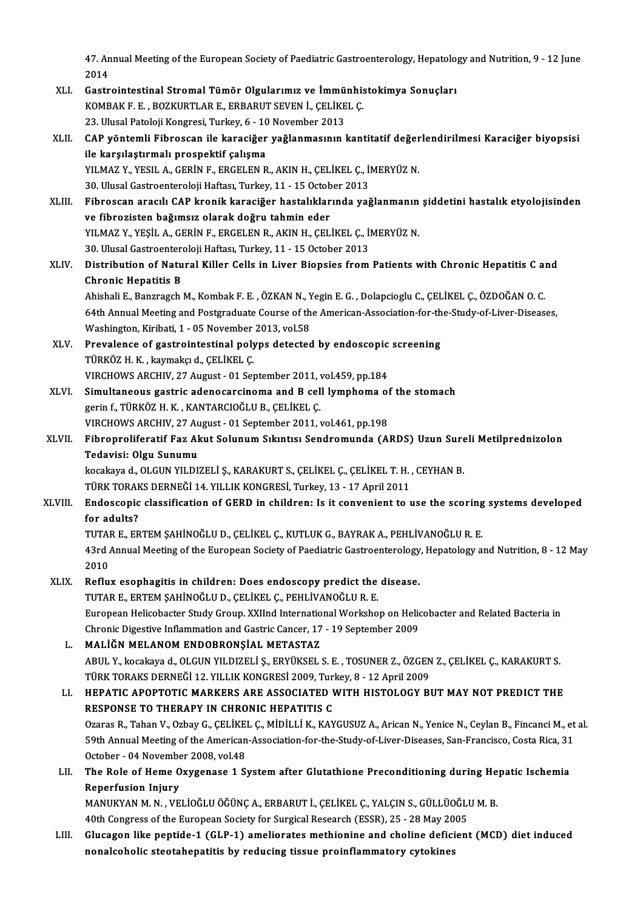47. Annual Meeting of the European Society of Paediatric Gastroenterology, Hepatology and Nutrition, 9 - 12 June<br>2014 47. An<br>2014<br>Castr 47. Annual Meeting of the European Society of Paediatric Gastroenterology, Hepatology<br>2014<br>XLI. Gastrointestinal Stromal Tümör Olgularımız ve İmmünhistokimya Sonuçları<br>KOMPAK E. E. BOZKUPTI AR E. ERRARUT SEVEN İ. CELİKEL C

- 2014<br>Gastrointestinal Stromal Tümör Olgularımız ve İmmünhis<br>KOMBAK F. E. , BOZKURTLAR E., ERBARUT SEVEN İ., ÇELİKEL Ç.<br>22. Ulugal Petalaji Kangresi Turkey 6, .10 Nevember 2012 Gastrointestinal Stromal Tümör Olgularımız ve İmmü<br>KOMBAK F. E. , BOZKURTLAR E., ERBARUT SEVEN İ., ÇELİKE<br>23. Ulusal Patoloji Kongresi, Turkey, 6 - 10 November 2013<br>CAB vöntemli Eihressen ile karasiğer vağlanmasının l
- KOMBAK F. E. , BOZKURTLAR E., ERBARUT SEVEN İ., ÇELİKEL Ç.<br>23. Ulusal Patoloji Kongresi, Turkey, 6 10 November 2013<br>XLII. CAP yöntemli Fibroscan ile karaciğer yağlanmasının kantitatif değerlendirilmesi Karaciğer biyo 23. Ulusal Patoloji Kongresi, Turkey, 6 - 10 November 2013<br>CAP yöntemli Fibroscan ile karaciğer yağlanmasının kantitatif değer<br>ile karşılaştırmalı prospektif çalışma<br>YILMAZ Y., YESIL A., GERİN F., ERGELEN R., AKIN H., ÇELİ CAP yöntemli Fibroscan ile karaciğer yağlanmasının kantitatif değer<br>ile karşılaştırmalı prospektif çalışma<br>YILMAZ Y., YESIL A., GERİN F., ERGELEN R., AKIN H., ÇELİKEL Ç., İMERYÜZ N.<br>20 Ulucal Castroontaraleji Haftası Turke

30.UlusalGastroenterolojiHaftası,Turkey,11 -15October 2013

- YILMAZ Y., YESIL A., GERİN F., ERGELEN R., AKIN H., ÇELİKEL Ç., İMERYÜZ N.<br>30. Ulusal Gastroenteroloji Haftası, Turkey, 11 15 October 2013<br>XLIII. Fibroscan aracılı CAP kronik karaciğer hastalıklarında yağlanmanın şid 30. Ulusal Gastroenteroloji Haftası, Turkey, 11 - 15 Octob<br>Fibroscan aracılı CAP kronik karaciğer hastalıklar<br>ve fibrozisten bağımsız olarak doğru tahmin eder<br>vu MAZ V. VESİL A, GERİN E, ERGELEN B, AKIN H, GEL Fibroscan aracılı CAP kronik karaciğer hastalıklarında yağlanmanın<br>ve fibrozisten bağımsız olarak doğru tahmin eder<br>YILMAZ Y., YEŞİL A., GERİN F., ERGELEN R., AKIN H., ÇELİKEL Ç., İMERYÜZ N.<br>20 Ulucal Castroontaralaji Haft ve fibrozisten bağımsız olarak doğru tahmin eder<br>YILMAZ Y., YEŞİL A., GERİN F., ERGELEN R., AKIN H., ÇELİKEL Ç., İMERYÜZ N.<br>30. Ulusal Gastroenteroloji Haftası, Turkey, 11 - 15 October 2013 YILMAZ Y., YEŞİL A., GERİN F., ERGELEN R., AKIN H., ÇELİKEL Ç., İMERYÜZ N.<br>30. Ulusal Gastroenteroloji Haftası, Turkey, 11 - 15 October 2013<br>XLIV. Distribution of Natural Killer Cells in Liver Biopsies from Patients wi
- **30. Ulusal Gastroenter<br>Distribution of Natu<br>Chronic Hepatitis B** Distribution of Natural Killer Cells in Liver Biopsies from Patients with Chronic Hepatitis C an<br>Chronic Hepatitis B<br>Ahishali E., Banzragch M., Kombak F. E. , ÖZKAN N., Yegin E. G. , Dolapcioglu C., ÇELİKEL Ç., ÖZDOĞAN O.

64th Annual Meeting and Postgraduate Course of the American-Association-for-the-Study-of-Liver-Diseases,<br>64th Annual Meeting and Postgraduate Course of the American-Association-for-the-Study-of-Liver-Diseases,<br>Washington, Ahishali E., Banzragch M., Kombak F. E., ÖZKAN N., Yegin E. G., Dolapcioglu C., ÇELİKEL Ç., ÖZDOĞAN O. C. 64th Annual Meeting and Postgraduate Course of the American-Association-for-th<br>Washington, Kiribati, 1 - 05 November 2013, vol.58<br>XLV. Prevalence of gastrointestinal polyps detected by endoscopic screening<br>Tipy 7 H V Jramp

- Washington, Kiribati, 1 05 November<br>Prevalence of gastrointestinal poly<br>TÜRKÖZ H. K. , kaymakçı d., ÇELİKEL Ç.<br>VIRCHOWS ARCHIV, 27 Aygust 01 Ser Prevalence of gastrointestinal polyps detected by endoscopic<br>TÜRKÖZ H. K. , kaymakçı d., ÇELİKEL Ç.<br>VIRCHOWS ARCHIV, 27 August - 01 September 2011, vol.459, pp.184<br>Simultaneous gastris adenosarsinema and B sell lumnhama at TÜRKÖZ H. K. , kaymakçı d., ÇELİKEL Ç.<br>VIRCHOWS ARCHIV, 27 August - 01 September 2011, vol.459, pp.184<br>XLVI. Simultaneous gastric adenocarcinoma and B cell lymphoma of the stomach
- gerin f., TÜRKÖZ H. K., KANTARCIOĞLU B., ÇELİKEL Ç. Simultaneous gastric adenocarcinoma and B cell lymphoma of<br>gerin f., TÜRKÖZ H. K. , KANTARCIOĞLU B., ÇELİKEL Ç.<br>VIRCHOWS ARCHIV, 27 August - 01 September 2011, vol.461, pp.198<br>Eihrenreliferatif Ear Akut Selunum Sıkınta; Se
- gerin f., TÜRKÖZ H. K. , KANTARCIOĞLU B., ÇELİKEL Ç.<br>VIRCHOWS ARCHIV, 27 August 01 September 2011, vol.461, pp.198<br>XLVII. Fibroproliferatif Faz Akut Solunum Sıkıntısı Sendromunda (ARDS) Uzun Sureli Metilprednizolon<br>T VIRCHOWS ARCHIV, 27 Au<br>Fibroproliferatif Faz Al<br>Tedavisi: Olgu Sunumu<br>kosakaya d-OLGUN VILDY Fibroproliferatif Faz Akut Solunum Sıkıntısı Sendromunda (ARDS) Uzun Sure<br>Tedavisi: Olgu Sunumu<br>kocakaya d., OLGUN YILDIZELİ Ş., KARAKURT S., ÇELİKEL Ç., ÇELİKEL T. H. , CEYHAN B.<br>TÜRK TORAKS DERNEĞİ 14 YU LIK KONGRESİ Tur

Tedavisi: Olgu Sunumu<br>kocakaya d., OLGUN YILDIZELİ Ş., KARAKURT S., ÇELİKEL Ç., ÇELİKEL T. H. , CEYHAN B.<br>TÜRK TORAKS DERNEĞİ 14. YILLIK KONGRESİ, Turkey, 13 - 17 April 2011

### kocakaya d., OLGUN YILDIZELİ Ş., KARAKURT S., ÇELİKEL Ç., ÇELİKEL T. H. , CEYHAN B.<br>TÜRK TORAKS DERNEĞİ 14. YILLIK KONGRESİ, Turkey, 13 - 17 April 2011<br>XLVIII. Endoscopic classification of GERD in children: Is it conve TÜRK TORAH<br><mark>Endoscopic</mark><br>for adults?<br>TUTAP E. ER Endoscopic classification of GERD in children: Is it convenient to use the scoring<br>for adults?<br>TUTAR E., ERTEM ŞAHİNOĞLU D., ÇELİKEL Ç., KUTLUK G., BAYRAK A., PEHLİVANOĞLU R. E.<br>43rd Annual Meeting of the Euronean Society

for adults?<br>TUTAR E., ERTEM ȘAHİNOĞLU D., ÇELİKEL Ç., KUTLUK G., BAYRAK A., PEHLİVANOĞLU R. E.<br>43rd Annual Meeting of the European Society of Paediatric Gastroenterology, Hepatology and Nutrition, 8 - 12 May TUTA<br>43rd<br>2010<br>Beflu 43rd Annual Meeting of the European Society of Paediatric Gastroenterology<br>2010<br>XLIX. Reflux esophagitis in children: Does endoscopy predict the disease.<br>TUTARE ERTEM SAHINOČLU D. CELIKEL C. REHLIVANOČLU R. E

## 2010<br>Reflux esophagitis in children: Does endoscopy predict the disease.<br>TUTAR E., ERTEM ŞAHİNOĞLU D., ÇELİKEL Ç., PEHLİVANOĞLU R. E.

Reflux esophagitis in children: Does endoscopy predict the disease.<br>TUTAR E., ERTEM ŞAHİNOĞLU D., ÇELİKEL Ç., PEHLİVANOĞLU R. E.<br>European Helicobacter Study Group. XXIInd International Workshop on Helicobacter and Related TUTAR E., ERTEM ŞAHİNOĞLU D., ÇELİKEL Ç., PEHLİVANOĞLU R. E.<br>European Helicobacter Study Group. XXIInd International Workshop on Helic<br>Chronic Digestive Inflammation and Gastric Cancer, 17 - 19 September 2009<br>MALİĞN MELANO Chronic Digestive Inflammation and Gastric Cancer, 17 - 19 September 2009<br>L. MALİĞN MELANOM ENDOBRONŞİAL METASTAZ

### Chronic Digestive Inflammation and Gastric Cancer, 17 - 19 September 2009<br>MALİĞN MELANOM ENDOBRONŞİAL METASTAZ<br>ABUL Y., kocakaya d., OLGUN YILDIZELİ Ş., ERYÜKSEL S. E. , TOSUNER Z., ÖZGEN Z., ÇELİKEL Ç., KARAKURT S.<br>TÜRK T MALİĞN MELANOM ENDOBRONŞİAL METASTAZ<br>ABUL Y., kocakaya d., OLGUN YILDIZELİ Ş., ERYÜKSEL S. E. , TOSUNER Z., ÖZGEN<br>TÜRK TORAKS DERNEĞİ 12. YILLIK KONGRESİ 2009, Turkey, 8 - 12 April 2009<br>HERATIC ARORTOTIC MARKERS ARE ASSOCI ABUL Y., kocakaya d., OLGUN YILDIZELİ Ş., ERYÜKSEL S. E. , TOSUNER Z., ÖZGEN Z., ÇELİKEL Ç., KARAKURT S.<br>TÜRK TORAKS DERNEĞİ 12. YILLIK KONGRESİ 2009, Turkey, 8 - 12 April 2009<br>LI. HEPATIC APOPTOTIC MARKERS ARE ASSOCIATED

### TÜRK TORAKS DERNEĞİ 12. YILLIK KONGRESİ 2009, Turk<br>HEPATIC APOPTOTIC MARKERS ARE ASSOCIATED 1<br>RESPONSE TO THERAPY IN CHRONIC HEPATITIS C<br>Ozaras B. Taban V. Ozbay G. GELİKEL G. MİDİLLİ K. KAN HEPATIC APOPTOTIC MARKERS ARE ASSOCIATED WITH HISTOLOGY BUT MAY NOT PREDICT THE<br>RESPONSE TO THERAPY IN CHRONIC HEPATITIS C<br>Ozaras R., Tahan V., Ozbay G., ÇELİKEL Ç., MİDİLLİ K., KAYGUSUZ A., Arican N., Yenice N., Ceylan B.

RESPONSE TO THERAPY IN CHRONIC HEPATITIS C<br>Ozaras R., Tahan V., Ozbay G., ÇELİKEL Ç., MİDİLLİ K., KAYGUSUZ A., Arican N., Yenice N., Ceylan B., Fincanci M., et<br>59th Annual Meeting of the American-Association-for-the-Study-Ozaras R., Tahan V., Ozbay G., ÇELİKE<br>59th Annual Meeting of the American<br>October - 04 November 2008, vol.48<br>The Bole of Heme Owygenese 1.5: 59th Annual Meeting of the American-Association-for-the-Study-of-Liver-Diseases, San-Francisco, Costa Rica, 31<br>October - 04 November 2008, vol.48<br>LII. The Role of Heme Oxygenase 1 System after Glutathione Preconditioning d

### October - 04 Novembe<br>The Role of Heme O<br>Reperfusion Injury<br>MANUKYAN M N - VE The Role of Heme Oxygenase 1 System after Glutathione Preconditioning during He<br>Reperfusion Injury<br>MANUKYAN M. N. , VELİOĞLU ÖĞÜNÇA., ERBARUT İ., ÇELİKEL Ç., YALÇIN S., GÜLLÜOĞLU M. B.<br>40th Congress of the European Sosiaty Reperfusion Injury<br>MANUKYAN M. N. , VELİOĞLU ÖĞÜNÇ A., ERBARUT İ., ÇELİKEL Ç., YALÇIN S., GÜLLÜOĞLI<br>40th Congress of the European Society for Surgical Research (ESSR), 25 - 28 May 2005<br>Glusagen like pontide 1.(GLP 1) ameli

40th Congress of the European Society for Surgical Research (ESSR), 25 - 28 May 2005<br>LIII. Glucagon like peptide-1 (GLP-1) ameliorates methionine and choline deficient (MCD) diet induced nonalcoholic steotahepatitis by reducing tissue proinflammatory cytokines